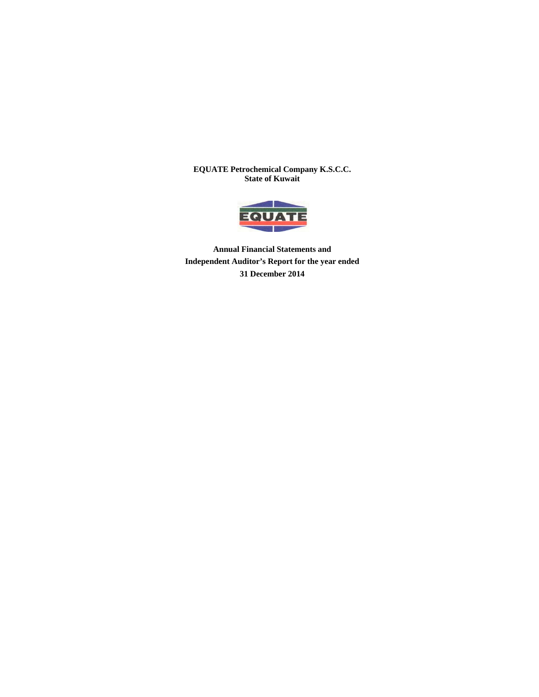**EQUATE Petrochemical Company K.S.C.C. State of Kuwait** 



**Annual Financial Statements and Independent Auditor's Report for the year ended 31 December 2014**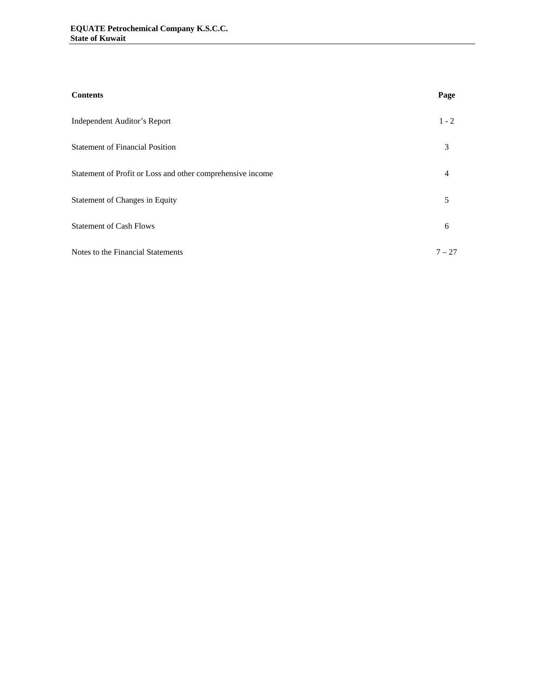| <b>Contents</b>                                            | Page           |
|------------------------------------------------------------|----------------|
| <b>Independent Auditor's Report</b>                        | $1 - 2$        |
| <b>Statement of Financial Position</b>                     | 3              |
| Statement of Profit or Loss and other comprehensive income | $\overline{4}$ |
| Statement of Changes in Equity                             | 5              |
| <b>Statement of Cash Flows</b>                             | 6              |
| Notes to the Financial Statements                          | $7 - 27$       |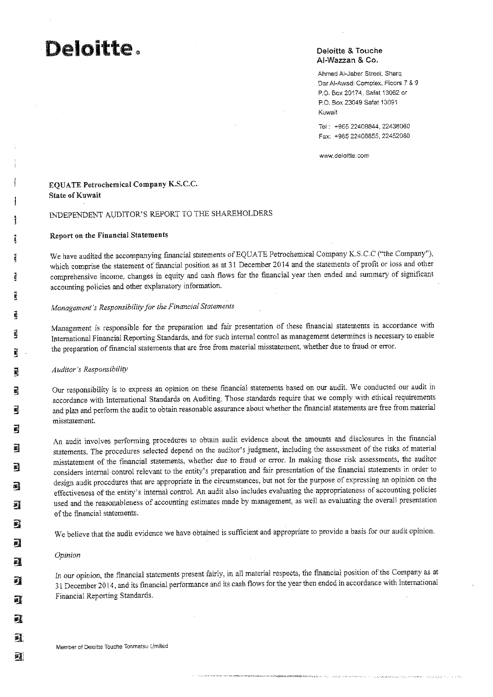# Deloitte.

#### Deloitte & Touche Al-Wazzan & Co.

Ahmed Al-Jaber Street, Sharq Dar Al-Awadi Complex, Floors 7 & 9 P.O. Box 20174, Safat 13062 or P.O. Box 23049 Safat 13091 Kuwait

Tel: +965 22408844, 22438060 Fax: +965 22408855, 22452080

www.deloitte.com

# EQUATE Petrochemical Company K.S.C.C. **State of Kuwait**

#### INDEPENDENT AUDITOR'S REPORT TO THE SHAREHOLDERS

#### **Report on the Financial Statements**

We have audited the accompanying financial statements of EQUATE Petrochemical Company K.S.C.C ("the Company"), which comprise the statement of financial position as at 31 December 2014 and the statements of profit or loss and other comprehensive income, changes in equity and cash flows for the financial year then ended and summary of significant accounting policies and other explanatory information.

# Management's Responsibility for the Financial Statements

Management is responsible for the preparation and fair presentation of these financial statements in accordance with International Financial Reporting Standards, and for such internal control as management determines is necessary to enable the preparation of financial statements that are free from material misstatement, whether due to fraud or error.

#### Auditor's Responsibility

Ę

畽

司

귫

國

雨

覊

國

靈

國

霵

兩

露

靏

扉

國

ä,

曬

Our responsibility is to express an opinion on these financial statements based on our audit. We conducted our audit in accordance with International Standards on Auditing. Those standards require that we comply with ethical requirements and plan and perform the audit to obtain reasonable assurance about whether the financial statements are free from material misstatement.

An audit involves performing procedures to obtain audit evidence about the amounts and disclosures in the financial statements. The procedures selected depend on the auditor's judgment, including the assessment of the risks of material misstatement of the financial statements, whether due to fraud or error. In making those risk assessments, the auditor considers internal control relevant to the entity's preparation and fair presentation of the financial statements in order to design audit procedures that are appropriate in the circumstances, but not for the purpose of expressing an opinion on the effectiveness of the entity's internal control. An audit also includes evaluating the appropriateness of accounting policies used and the reasonableness of accounting estimates made by management, as well as evaluating the overall presentation of the financial statements.

We believe that the audit evidence we have obtained is sufficient and appropriate to provide a basis for our audit opinion.

#### Opinion

In our opinion, the financial statements present fairly, in all material respects, the financial position of the Company as at 31 December 2014, and its financial performance and its cash flows for the year then ended in accordance with International Financial Reporting Standards.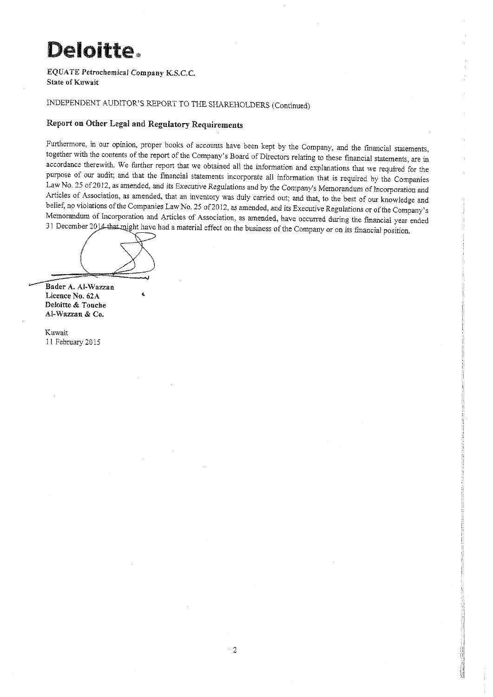# **Deloitte.**

EQUATE Petrochemical Company K.S.C.C. **State of Kuwait** 

INDEPENDENT AUDITOR'S REPORT TO THE SHAREHOLDERS (Continued)

# Report on Other Legal and Regulatory Requirements

Furthermore, in our opinion, proper books of accounts have been kept by the Company, and the financial statements, together with the contents of the report of the Company's Board of Directors relating to these financial statements, are in accordance therewith. We further report that we obtained all the information and explanations that we required for the purpose of our audit; and that the financial statements incorporate all information that is required by the Companies Law No. 25 of 2012, as amended, and its Executive Regulations and by the Company's Memorandum of Incorporation and Articles of Association, as amended, that an inventory was duly carried out; and that, to the best of our knowledge and belief, no violations of the Companies Law No. 25 of 2012, as amended, and its Executive Regulations or of the Company's Memorandum of Incorporation and Articles of Association, as amended, have occurred during the financial year ended 31 December 2014 that might have had a material effect on the business of the Company or on its financial position.

Bader A. Al-Wazzan Licence No. 62A Deloitte & Touche Al-Wazzan & Co.

Kuwait 11 February 2015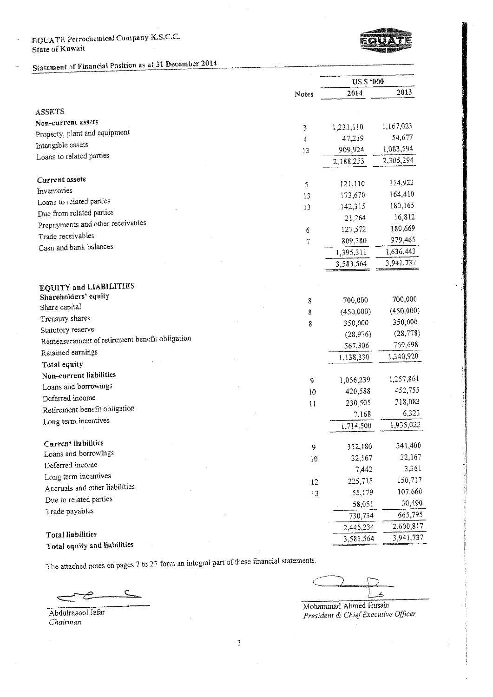# EQUATE Petrochemical Company K.S.C.C. State of Kuwait

# Statement of Financial Position as at 31 December 2014



|                                                |       | <b>US \$ '000</b>      |                        |  |
|------------------------------------------------|-------|------------------------|------------------------|--|
|                                                | Notes | 2014                   | 2013                   |  |
| <b>ASSETS</b>                                  |       |                        |                        |  |
| Non-current assets                             |       |                        | 1,167,023              |  |
| Property, plant and equipment                  | 3     | 1,231,110              | 54,677                 |  |
| Intangible assets                              | 4     | 47,219                 | 1,083,594              |  |
| Loans to related parties                       | 13    | 909,924<br>2,188,253   | 2,305,294              |  |
| Current assets                                 | 5     | 121,110                | 114,922                |  |
| Inventories                                    | 13    | 173,670                | 164,410                |  |
| Loans to related parties                       |       | 142,315                | 180,165                |  |
| Due from related parties                       | 13    |                        | 16,812                 |  |
| Prepayments and other receivables              |       | 21,264                 | 180,669                |  |
| Trade receivables                              | б     | 127,572                | 979,465                |  |
| Cash and bank balances                         | 7     | 809,380                |                        |  |
|                                                |       | 1,395,311<br>3,583,564 | 1,636,443<br>3,941,737 |  |
| <b>EQUITY and LIABILITIES</b>                  |       |                        |                        |  |
| Shareholders' equity                           |       |                        |                        |  |
| Share capital                                  | 8     | 700,000                | 700,000                |  |
| Treasury shares                                | 8     | (450,000)              | (450,000)              |  |
| Statutory reserve                              | 8     | 350,000                | 350,000                |  |
| Remeasurement of retirement benefit obligation |       | (28,976)               | (28, 778)              |  |
| Retained earnings                              |       | 567,306                | 769,698                |  |
| Total equity                                   |       | 1,138,330              | 1,340,920              |  |
| Non-current liabilities                        |       |                        |                        |  |
| Loans and borrowings                           | 9     | 1,056,239              | 1,257,861              |  |
| Deferred income                                | 10    | 420,588                | 452,755                |  |
| Retirement benefit obligation                  | 11    | 230,505                | 218,083                |  |
| Long term incentives                           |       | 7,168                  | 6,323                  |  |
|                                                |       | 1,714,500              | 1,935,022              |  |
| Current liabilities                            | 9     | 352,180                | 341,400                |  |
| Loans and borrowings                           | 10    | 32,167                 | 32,167                 |  |
| Deferred income                                |       | 7,442                  | 3,361                  |  |
| Long term incentives                           | 12    | 225,715                | 150,717                |  |
| Accruals and other liabilities                 | 13    | 55,179                 | 107,660                |  |
| Due to related parties                         |       | 58,051                 | 30,490                 |  |
| Trade payables                                 |       | 730,734                | 665,795                |  |
|                                                |       | 2,445,234              | 2,600,817              |  |
| <b>Total liabilities</b>                       |       | 3,583,564              | 3,941,731              |  |
|                                                |       |                        |                        |  |

Total equity and liabilities

 $\subset$ 

Abdulrasool Jafar Chairman

Mohammad Ahmed Husain President & Chief Executive Officer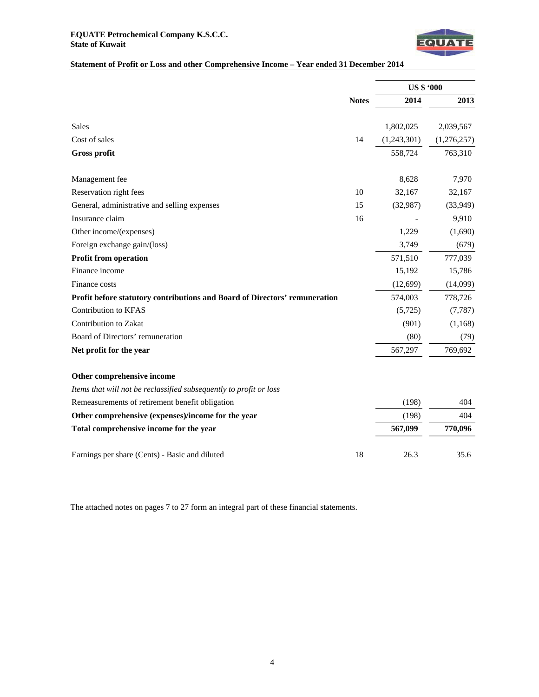

# **Statement of Profit or Loss and other Comprehensive Income – Year ended 31 December 2014**

|                                                                            |              | <b>US \$ '000</b> |             |
|----------------------------------------------------------------------------|--------------|-------------------|-------------|
|                                                                            | <b>Notes</b> | 2014              | 2013        |
| Sales                                                                      |              | 1,802,025         | 2,039,567   |
| Cost of sales                                                              | 14           | (1,243,301)       | (1,276,257) |
| <b>Gross profit</b>                                                        |              | 558,724           | 763,310     |
| Management fee                                                             |              | 8,628             | 7,970       |
| Reservation right fees                                                     | 10           | 32,167            | 32,167      |
| General, administrative and selling expenses                               | 15           | (32,987)          | (33,949)    |
| Insurance claim                                                            | 16           |                   | 9,910       |
| Other income/(expenses)                                                    |              | 1,229             | (1,690)     |
| Foreign exchange gain/(loss)                                               |              | 3,749             | (679)       |
| <b>Profit from operation</b>                                               |              | 571,510           | 777,039     |
| Finance income                                                             |              | 15,192            | 15,786      |
| Finance costs                                                              |              | (12, 699)         | (14,099)    |
| Profit before statutory contributions and Board of Directors' remuneration |              | 574,003           | 778,726     |
| <b>Contribution to KFAS</b>                                                |              | (5,725)           | (7, 787)    |
| Contribution to Zakat                                                      |              | (901)             | (1,168)     |
| Board of Directors' remuneration                                           |              | (80)              | (79)        |
| Net profit for the year                                                    |              | 567,297           | 769,692     |
| Other comprehensive income                                                 |              |                   |             |
| Items that will not be reclassified subsequently to profit or loss         |              |                   |             |
| Remeasurements of retirement benefit obligation                            |              | (198)             | 404         |
| Other comprehensive (expenses)/income for the year                         |              | (198)             | 404         |
| Total comprehensive income for the year                                    |              | 567,099           | 770,096     |
| Earnings per share (Cents) - Basic and diluted                             | 18           | 26.3              | 35.6        |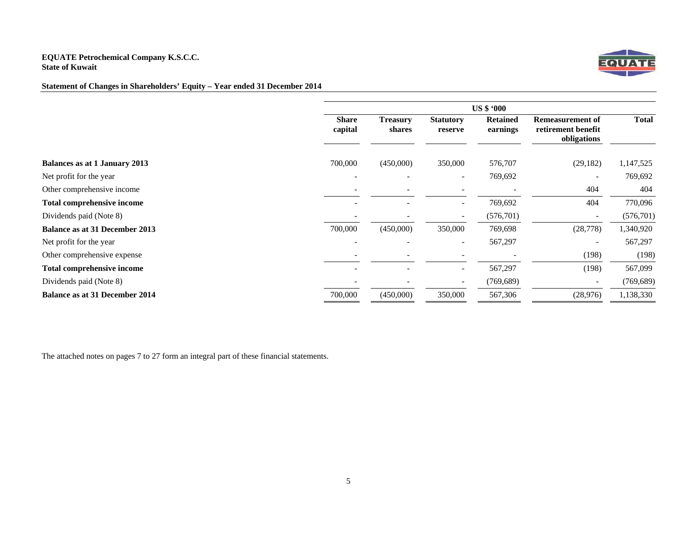# **EQUATE Petrochemical Company K.S.C.C. State of Kuwait**

# **Statement of Changes in Shareholders' Equity – Year ended 31 December 2014**



| <b>Share</b><br>capital | <b>Treasury</b><br>shares | <b>Statutory</b><br>reserve | <b>Retained</b><br>earnings | <b>Remeasurement of</b><br>retirement benefit<br>obligations | <b>Total</b> |
|-------------------------|---------------------------|-----------------------------|-----------------------------|--------------------------------------------------------------|--------------|
| 700,000                 | (450,000)                 | 350,000                     | 576,707                     | (29, 182)                                                    | 1,147,525    |
|                         | $\overline{\phantom{a}}$  |                             | 769,692                     | $\overline{\phantom{a}}$                                     | 769,692      |
|                         |                           |                             |                             | 404                                                          | 404          |
|                         |                           |                             | 769,692                     | 404                                                          | 770,096      |
|                         |                           |                             | (576, 701)                  |                                                              | (576, 701)   |
| 700,000                 | (450,000)                 | 350,000                     | 769,698                     | (28, 778)                                                    | 1,340,920    |
|                         | ٠                         |                             | 567,297                     |                                                              | 567,297      |
|                         |                           |                             |                             | (198)                                                        | (198)        |
|                         |                           |                             | 567,297                     | (198)                                                        | 567,099      |
|                         |                           |                             | (769, 689)                  |                                                              | (769, 689)   |
| 700,000                 | (450,000)                 | 350,000                     | 567,306                     | (28, 976)                                                    | 1,138,330    |
|                         |                           |                             |                             | <b>US \$ '000</b>                                            |              |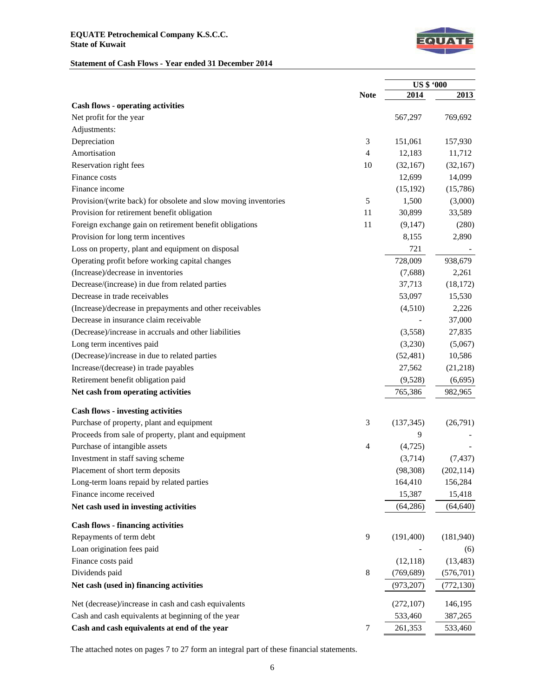#### **EQUATE Petrochemical Company K.S.C.C. State of Kuwait**



# **Statement of Cash Flows - Year ended 31 December 2014**

|                                                                     |                | <b>US \$ '000</b> |            |
|---------------------------------------------------------------------|----------------|-------------------|------------|
|                                                                     | <b>Note</b>    | 2014              | 2013       |
| <b>Cash flows - operating activities</b><br>Net profit for the year |                | 567,297           | 769,692    |
|                                                                     |                |                   |            |
| Adjustments:                                                        |                |                   |            |
| Depreciation                                                        | 3              | 151,061           | 157,930    |
| Amortisation                                                        | $\overline{4}$ | 12,183            | 11,712     |
| Reservation right fees                                              | 10             | (32, 167)         | (32, 167)  |
| Finance costs                                                       |                | 12,699            | 14,099     |
| Finance income                                                      |                | (15, 192)         | (15,786)   |
| Provision/(write back) for obsolete and slow moving inventories     | 5              | 1,500             | (3,000)    |
| Provision for retirement benefit obligation                         | 11             | 30,899            | 33,589     |
| Foreign exchange gain on retirement benefit obligations             | 11             | (9,147)           | (280)      |
| Provision for long term incentives                                  |                | 8,155             | 2,890      |
| Loss on property, plant and equipment on disposal                   |                | 721               |            |
| Operating profit before working capital changes                     |                | 728,009           | 938,679    |
| (Increase)/decrease in inventories                                  |                | (7,688)           | 2,261      |
| Decrease/(increase) in due from related parties                     |                | 37,713            | (18, 172)  |
| Decrease in trade receivables                                       |                | 53,097            | 15,530     |
| (Increase)/decrease in prepayments and other receivables            |                | (4,510)           | 2,226      |
| Decrease in insurance claim receivable                              |                |                   | 37,000     |
| (Decrease)/increase in accruals and other liabilities               |                | (3,558)           | 27,835     |
| Long term incentives paid                                           |                | (3,230)           | (5,067)    |
| (Decrease)/increase in due to related parties                       |                | (52, 481)         | 10,586     |
| Increase/(decrease) in trade payables                               |                | 27,562            | (21,218)   |
| Retirement benefit obligation paid                                  |                | (9,528)           | (6,695)    |
| Net cash from operating activities                                  |                | 765,386           | 982,965    |
| <b>Cash flows - investing activities</b>                            |                |                   |            |
| Purchase of property, plant and equipment                           | 3              | (137, 345)        | (26,791)   |
| Proceeds from sale of property, plant and equipment                 |                | 9                 |            |
| Purchase of intangible assets                                       | $\overline{4}$ | (4, 725)          |            |
| Investment in staff saving scheme                                   |                | (3,714)           | (7, 437)   |
| Placement of short term deposits                                    |                | (98, 308)         | (202, 114) |
| Long-term loans repaid by related parties                           |                | 164,410           | 156,284    |
| Finance income received                                             |                | 15,387            | 15,418     |
| Net cash used in investing activities                               |                | (64,286)          | (64, 640)  |
| <b>Cash flows - financing activities</b>                            |                |                   |            |
| Repayments of term debt                                             | 9              | (191,400)         | (181,940)  |
| Loan origination fees paid                                          |                |                   | (6)        |
| Finance costs paid                                                  |                | (12, 118)         | (13, 483)  |
| Dividends paid                                                      | $\,8\,$        | (769, 689)        | (576, 701) |
| Net cash (used in) financing activities                             |                | (973, 207)        | (772, 130) |
| Net (decrease)/increase in cash and cash equivalents                |                | (272, 107)        | 146,195    |
| Cash and cash equivalents at beginning of the year                  |                | 533,460           | 387,265    |
| Cash and cash equivalents at end of the year                        | 7              | 261,353           | 533,460    |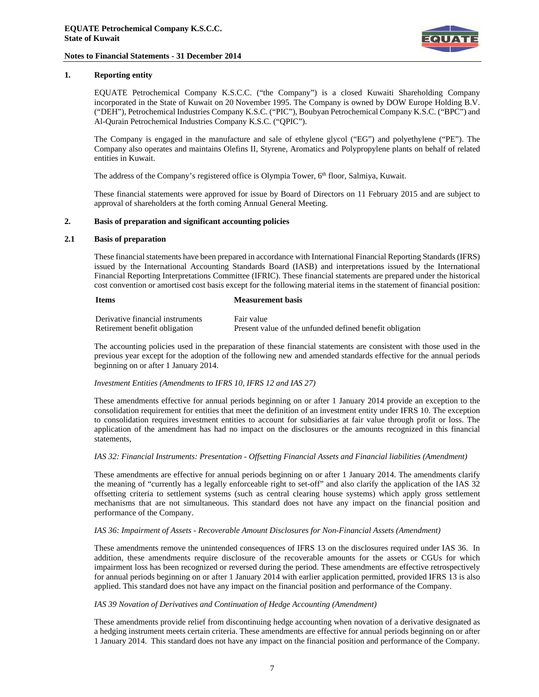



#### **1. Reporting entity**

EQUATE Petrochemical Company K.S.C.C. ("the Company") is a closed Kuwaiti Shareholding Company incorporated in the State of Kuwait on 20 November 1995. The Company is owned by DOW Europe Holding B.V. ("DEH"), Petrochemical Industries Company K.S.C. ("PIC"), Boubyan Petrochemical Company K.S.C. ("BPC") and Al-Qurain Petrochemical Industries Company K.S.C. ("QPIC").

The Company is engaged in the manufacture and sale of ethylene glycol ("EG") and polyethylene ("PE"). The Company also operates and maintains Olefins II, Styrene, Aromatics and Polypropylene plants on behalf of related entities in Kuwait.

The address of the Company's registered office is Olympia Tower, 6<sup>th</sup> floor, Salmiya, Kuwait.

These financial statements were approved for issue by Board of Directors on 11 February 2015 and are subject to approval of shareholders at the forth coming Annual General Meeting.

#### **2. Basis of preparation and significant accounting policies**

#### **2.1 Basis of preparation**

These financial statements have been prepared in accordance with International Financial Reporting Standards (IFRS) issued by the International Accounting Standards Board (IASB) and interpretations issued by the International Financial Reporting Interpretations Committee (IFRIC). These financial statements are prepared under the historical cost convention or amortised cost basis except for the following material items in the statement of financial position:

#### **Items** Measurement basis

| Derivative financial instruments | Fair value                                               |
|----------------------------------|----------------------------------------------------------|
| Retirement benefit obligation    | Present value of the unfunded defined benefit obligation |

The accounting policies used in the preparation of these financial statements are consistent with those used in the previous year except for the adoption of the following new and amended standards effective for the annual periods beginning on or after 1 January 2014.

#### *Investment Entities (Amendments to IFRS 10, IFRS 12 and IAS 27)*

These amendments effective for annual periods beginning on or after 1 January 2014 provide an exception to the consolidation requirement for entities that meet the definition of an investment entity under IFRS 10. The exception to consolidation requires investment entities to account for subsidiaries at fair value through profit or loss. The application of the amendment has had no impact on the disclosures or the amounts recognized in this financial statements,

#### *IAS 32: Financial Instruments: Presentation - Offsetting Financial Assets and Financial liabilities (Amendment)*

These amendments are effective for annual periods beginning on or after 1 January 2014. The amendments clarify the meaning of "currently has a legally enforceable right to set-off" and also clarify the application of the IAS 32 offsetting criteria to settlement systems (such as central clearing house systems) which apply gross settlement mechanisms that are not simultaneous. This standard does not have any impact on the financial position and performance of the Company.

#### *IAS 36: Impairment of Assets - Recoverable Amount Disclosures for Non-Financial Assets (Amendment)*

These amendments remove the unintended consequences of IFRS 13 on the disclosures required under IAS 36. In addition, these amendments require disclosure of the recoverable amounts for the assets or CGUs for which impairment loss has been recognized or reversed during the period. These amendments are effective retrospectively for annual periods beginning on or after 1 January 2014 with earlier application permitted, provided IFRS 13 is also applied. This standard does not have any impact on the financial position and performance of the Company.

#### *IAS 39 Novation of Derivatives and Continuation of Hedge Accounting (Amendment)*

These amendments provide relief from discontinuing hedge accounting when novation of a derivative designated as a hedging instrument meets certain criteria. These amendments are effective for annual periods beginning on or after 1 January 2014. This standard does not have any impact on the financial position and performance of the Company.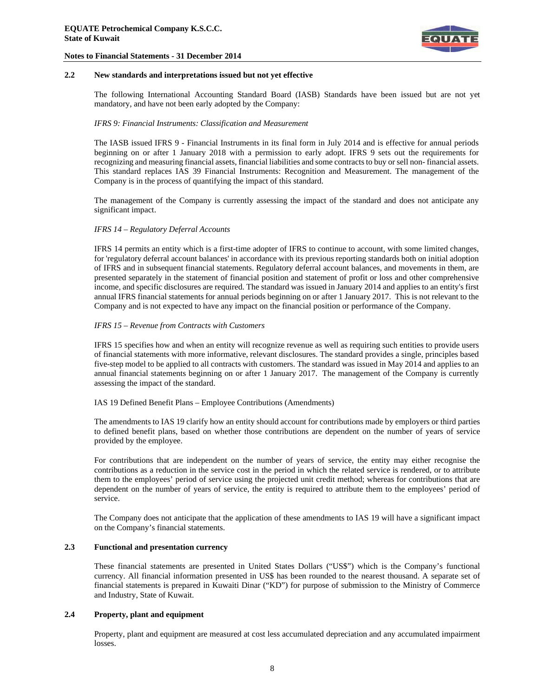

#### **2.2 New standards and interpretations issued but not yet effective**

The following International Accounting Standard Board (IASB) Standards have been issued but are not yet mandatory, and have not been early adopted by the Company:

#### *IFRS 9: Financial Instruments: Classification and Measurement*

The IASB issued IFRS 9 - Financial Instruments in its final form in July 2014 and is effective for annual periods beginning on or after 1 January 2018 with a permission to early adopt. IFRS 9 sets out the requirements for recognizing and measuring financial assets, financial liabilities and some contracts to buy or sell non- financial assets. This standard replaces IAS 39 Financial Instruments: Recognition and Measurement. The management of the Company is in the process of quantifying the impact of this standard.

The management of the Company is currently assessing the impact of the standard and does not anticipate any significant impact.

#### *IFRS 14 – Regulatory Deferral Accounts*

IFRS 14 permits an entity which is a first-time adopter of IFRS to continue to account, with some limited changes, for 'regulatory deferral account balances' in accordance with its previous reporting standards both on initial adoption of IFRS and in subsequent financial statements. Regulatory deferral account balances, and movements in them, are presented separately in the statement of financial position and statement of profit or loss and other comprehensive income, and specific disclosures are required. The standard was issued in January 2014 and applies to an entity's first annual IFRS financial statements for annual periods beginning on or after 1 January 2017. This is not relevant to the Company and is not expected to have any impact on the financial position or performance of the Company.

#### *IFRS 15 – Revenue from Contracts with Customers*

IFRS 15 specifies how and when an entity will recognize revenue as well as requiring such entities to provide users of financial statements with more informative, relevant disclosures. The standard provides a single, principles based five-step model to be applied to all contracts with customers. The standard was issued in May 2014 and applies to an annual financial statements beginning on or after 1 January 2017. The management of the Company is currently assessing the impact of the standard.

#### IAS 19 Defined Benefit Plans – Employee Contributions (Amendments)

The amendments to IAS 19 clarify how an entity should account for contributions made by employers or third parties to defined benefit plans, based on whether those contributions are dependent on the number of years of service provided by the employee.

For contributions that are independent on the number of years of service, the entity may either recognise the contributions as a reduction in the service cost in the period in which the related service is rendered, or to attribute them to the employees' period of service using the projected unit credit method; whereas for contributions that are dependent on the number of years of service, the entity is required to attribute them to the employees' period of service.

The Company does not anticipate that the application of these amendments to IAS 19 will have a significant impact on the Company's financial statements.

# **2.3 Functional and presentation currency**

These financial statements are presented in United States Dollars ("US\$") which is the Company's functional currency. All financial information presented in US\$ has been rounded to the nearest thousand. A separate set of financial statements is prepared in Kuwaiti Dinar ("KD") for purpose of submission to the Ministry of Commerce and Industry, State of Kuwait.

### **2.4 Property, plant and equipment**

Property, plant and equipment are measured at cost less accumulated depreciation and any accumulated impairment losses.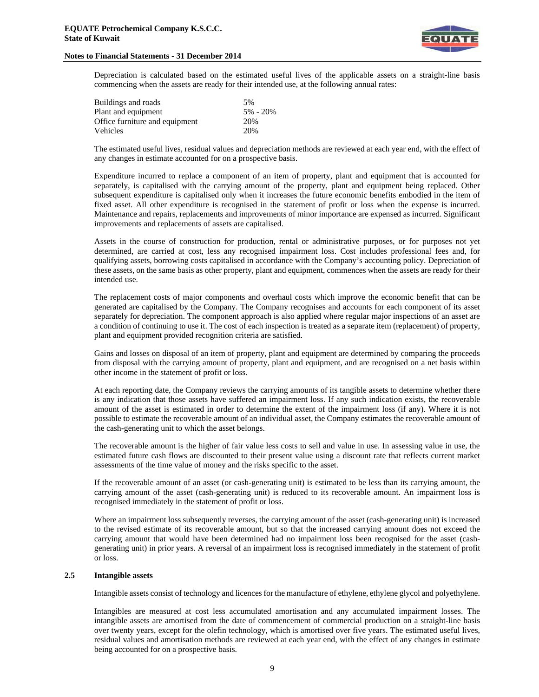

Depreciation is calculated based on the estimated useful lives of the applicable assets on a straight-line basis commencing when the assets are ready for their intended use, at the following annual rates:

| Buildings and roads            | .5%          |
|--------------------------------|--------------|
| Plant and equipment            | $5\% - 20\%$ |
| Office furniture and equipment | 20%          |
| Vehicles                       | 20%          |

The estimated useful lives, residual values and depreciation methods are reviewed at each year end, with the effect of any changes in estimate accounted for on a prospective basis.

Expenditure incurred to replace a component of an item of property, plant and equipment that is accounted for separately, is capitalised with the carrying amount of the property, plant and equipment being replaced. Other subsequent expenditure is capitalised only when it increases the future economic benefits embodied in the item of fixed asset. All other expenditure is recognised in the statement of profit or loss when the expense is incurred. Maintenance and repairs, replacements and improvements of minor importance are expensed as incurred. Significant improvements and replacements of assets are capitalised.

Assets in the course of construction for production, rental or administrative purposes, or for purposes not yet determined, are carried at cost, less any recognised impairment loss. Cost includes professional fees and, for qualifying assets, borrowing costs capitalised in accordance with the Company's accounting policy. Depreciation of these assets, on the same basis as other property, plant and equipment, commences when the assets are ready for their intended use.

The replacement costs of major components and overhaul costs which improve the economic benefit that can be generated are capitalised by the Company. The Company recognises and accounts for each component of its asset separately for depreciation. The component approach is also applied where regular major inspections of an asset are a condition of continuing to use it. The cost of each inspection is treated as a separate item (replacement) of property, plant and equipment provided recognition criteria are satisfied.

Gains and losses on disposal of an item of property, plant and equipment are determined by comparing the proceeds from disposal with the carrying amount of property, plant and equipment, and are recognised on a net basis within other income in the statement of profit or loss.

At each reporting date, the Company reviews the carrying amounts of its tangible assets to determine whether there is any indication that those assets have suffered an impairment loss. If any such indication exists, the recoverable amount of the asset is estimated in order to determine the extent of the impairment loss (if any). Where it is not possible to estimate the recoverable amount of an individual asset, the Company estimates the recoverable amount of the cash-generating unit to which the asset belongs.

The recoverable amount is the higher of fair value less costs to sell and value in use. In assessing value in use, the estimated future cash flows are discounted to their present value using a discount rate that reflects current market assessments of the time value of money and the risks specific to the asset.

If the recoverable amount of an asset (or cash-generating unit) is estimated to be less than its carrying amount, the carrying amount of the asset (cash-generating unit) is reduced to its recoverable amount. An impairment loss is recognised immediately in the statement of profit or loss.

Where an impairment loss subsequently reverses, the carrying amount of the asset (cash-generating unit) is increased to the revised estimate of its recoverable amount, but so that the increased carrying amount does not exceed the carrying amount that would have been determined had no impairment loss been recognised for the asset (cashgenerating unit) in prior years. A reversal of an impairment loss is recognised immediately in the statement of profit or loss.

#### **2.5 Intangible assets**

Intangible assets consist of technology and licences for the manufacture of ethylene, ethylene glycol and polyethylene.

Intangibles are measured at cost less accumulated amortisation and any accumulated impairment losses. The intangible assets are amortised from the date of commencement of commercial production on a straight-line basis over twenty years, except for the olefin technology, which is amortised over five years. The estimated useful lives, residual values and amortisation methods are reviewed at each year end, with the effect of any changes in estimate being accounted for on a prospective basis.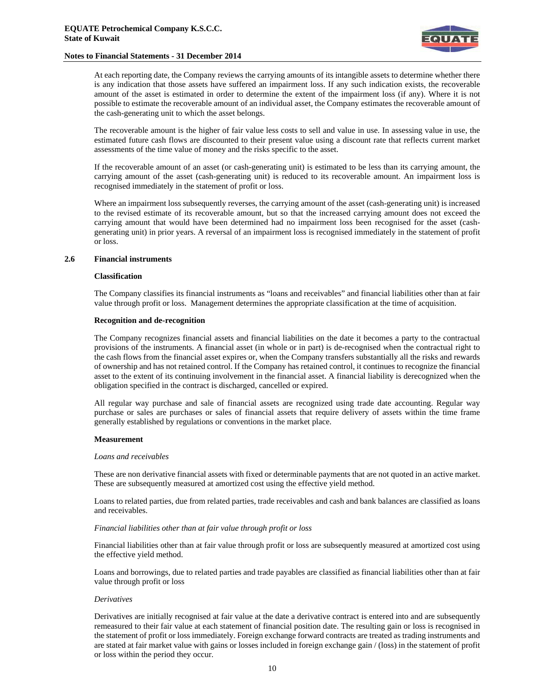

At each reporting date, the Company reviews the carrying amounts of its intangible assets to determine whether there is any indication that those assets have suffered an impairment loss. If any such indication exists, the recoverable amount of the asset is estimated in order to determine the extent of the impairment loss (if any). Where it is not possible to estimate the recoverable amount of an individual asset, the Company estimates the recoverable amount of the cash-generating unit to which the asset belongs.

The recoverable amount is the higher of fair value less costs to sell and value in use. In assessing value in use, the estimated future cash flows are discounted to their present value using a discount rate that reflects current market assessments of the time value of money and the risks specific to the asset.

If the recoverable amount of an asset (or cash-generating unit) is estimated to be less than its carrying amount, the carrying amount of the asset (cash-generating unit) is reduced to its recoverable amount. An impairment loss is recognised immediately in the statement of profit or loss.

Where an impairment loss subsequently reverses, the carrying amount of the asset (cash-generating unit) is increased to the revised estimate of its recoverable amount, but so that the increased carrying amount does not exceed the carrying amount that would have been determined had no impairment loss been recognised for the asset (cashgenerating unit) in prior years. A reversal of an impairment loss is recognised immediately in the statement of profit or loss.

#### **2.6 Financial instruments**

#### **Classification**

The Company classifies its financial instruments as "loans and receivables" and financial liabilities other than at fair value through profit or loss. Management determines the appropriate classification at the time of acquisition.

#### **Recognition and de-recognition**

The Company recognizes financial assets and financial liabilities on the date it becomes a party to the contractual provisions of the instruments. A financial asset (in whole or in part) is de-recognised when the contractual right to the cash flows from the financial asset expires or, when the Company transfers substantially all the risks and rewards of ownership and has not retained control. If the Company has retained control, it continues to recognize the financial asset to the extent of its continuing involvement in the financial asset. A financial liability is derecognized when the obligation specified in the contract is discharged, cancelled or expired.

All regular way purchase and sale of financial assets are recognized using trade date accounting. Regular way purchase or sales are purchases or sales of financial assets that require delivery of assets within the time frame generally established by regulations or conventions in the market place.

#### **Measurement**

#### *Loans and receivables*

These are non derivative financial assets with fixed or determinable payments that are not quoted in an active market. These are subsequently measured at amortized cost using the effective yield method.

Loans to related parties, due from related parties, trade receivables and cash and bank balances are classified as loans and receivables.

#### *Financial liabilities other than at fair value through profit or loss*

Financial liabilities other than at fair value through profit or loss are subsequently measured at amortized cost using the effective yield method.

Loans and borrowings, due to related parties and trade payables are classified as financial liabilities other than at fair value through profit or loss

#### *Derivatives*

Derivatives are initially recognised at fair value at the date a derivative contract is entered into and are subsequently remeasured to their fair value at each statement of financial position date. The resulting gain or loss is recognised in the statement of profit or loss immediately. Foreign exchange forward contracts are treated as trading instruments and are stated at fair market value with gains or losses included in foreign exchange gain / (loss) in the statement of profit or loss within the period they occur.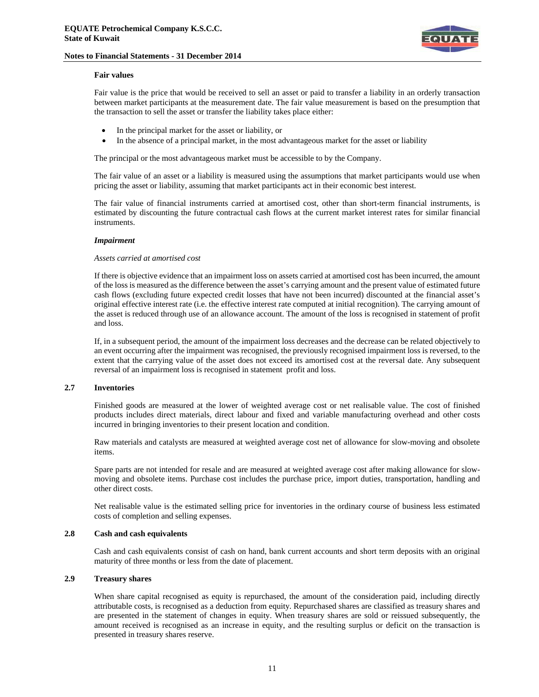

#### **Fair values**

Fair value is the price that would be received to sell an asset or paid to transfer a liability in an orderly transaction between market participants at the measurement date. The fair value measurement is based on the presumption that the transaction to sell the asset or transfer the liability takes place either:

- In the principal market for the asset or liability, or
- In the absence of a principal market, in the most advantageous market for the asset or liability

The principal or the most advantageous market must be accessible to by the Company.

The fair value of an asset or a liability is measured using the assumptions that market participants would use when pricing the asset or liability, assuming that market participants act in their economic best interest.

The fair value of financial instruments carried at amortised cost, other than short-term financial instruments, is estimated by discounting the future contractual cash flows at the current market interest rates for similar financial instruments.

#### *Impairment*

#### *Assets carried at amortised cost*

If there is objective evidence that an impairment loss on assets carried at amortised cost has been incurred, the amount of the loss is measured as the difference between the asset's carrying amount and the present value of estimated future cash flows (excluding future expected credit losses that have not been incurred) discounted at the financial asset's original effective interest rate (i.e. the effective interest rate computed at initial recognition). The carrying amount of the asset is reduced through use of an allowance account. The amount of the loss is recognised in statement of profit and loss.

If, in a subsequent period, the amount of the impairment loss decreases and the decrease can be related objectively to an event occurring after the impairment was recognised, the previously recognised impairment loss is reversed, to the extent that the carrying value of the asset does not exceed its amortised cost at the reversal date. Any subsequent reversal of an impairment loss is recognised in statement profit and loss.

#### **2.7 Inventories**

Finished goods are measured at the lower of weighted average cost or net realisable value. The cost of finished products includes direct materials, direct labour and fixed and variable manufacturing overhead and other costs incurred in bringing inventories to their present location and condition.

Raw materials and catalysts are measured at weighted average cost net of allowance for slow-moving and obsolete items.

Spare parts are not intended for resale and are measured at weighted average cost after making allowance for slowmoving and obsolete items. Purchase cost includes the purchase price, import duties, transportation, handling and other direct costs.

Net realisable value is the estimated selling price for inventories in the ordinary course of business less estimated costs of completion and selling expenses.

#### **2.8 Cash and cash equivalents**

Cash and cash equivalents consist of cash on hand, bank current accounts and short term deposits with an original maturity of three months or less from the date of placement.

#### **2.9 Treasury shares**

When share capital recognised as equity is repurchased, the amount of the consideration paid, including directly attributable costs, is recognised as a deduction from equity. Repurchased shares are classified as treasury shares and are presented in the statement of changes in equity. When treasury shares are sold or reissued subsequently, the amount received is recognised as an increase in equity, and the resulting surplus or deficit on the transaction is presented in treasury shares reserve.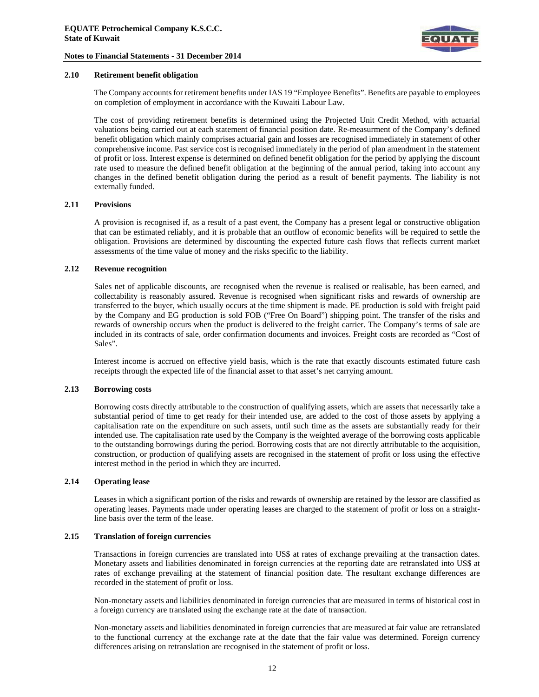

#### **2.10 Retirement benefit obligation**

The Company accounts for retirement benefits under IAS 19 "Employee Benefits". Benefits are payable to employees on completion of employment in accordance with the Kuwaiti Labour Law.

The cost of providing retirement benefits is determined using the Projected Unit Credit Method, with actuarial valuations being carried out at each statement of financial position date. Re-measurment of the Company's defined benefit obligation which mainly comprises actuarial gain and losses are recognised immediately in statement of other comprehensive income. Past service cost is recognised immediately in the period of plan amendment in the statement of profit or loss. Interest expense is determined on defined benefit obligation for the period by applying the discount rate used to measure the defined benefit obligation at the beginning of the annual period, taking into account any changes in the defined benefit obligation during the period as a result of benefit payments. The liability is not externally funded.

#### **2.11 Provisions**

A provision is recognised if, as a result of a past event, the Company has a present legal or constructive obligation that can be estimated reliably, and it is probable that an outflow of economic benefits will be required to settle the obligation. Provisions are determined by discounting the expected future cash flows that reflects current market assessments of the time value of money and the risks specific to the liability.

#### **2.12 Revenue recognition**

Sales net of applicable discounts, are recognised when the revenue is realised or realisable, has been earned, and collectability is reasonably assured. Revenue is recognised when significant risks and rewards of ownership are transferred to the buyer, which usually occurs at the time shipment is made. PE production is sold with freight paid by the Company and EG production is sold FOB ("Free On Board") shipping point. The transfer of the risks and rewards of ownership occurs when the product is delivered to the freight carrier. The Company's terms of sale are included in its contracts of sale, order confirmation documents and invoices. Freight costs are recorded as "Cost of Sales".

Interest income is accrued on effective yield basis, which is the rate that exactly discounts estimated future cash receipts through the expected life of the financial asset to that asset's net carrying amount.

#### **2.13 Borrowing costs**

Borrowing costs directly attributable to the construction of qualifying assets, which are assets that necessarily take a substantial period of time to get ready for their intended use, are added to the cost of those assets by applying a capitalisation rate on the expenditure on such assets, until such time as the assets are substantially ready for their intended use. The capitalisation rate used by the Company is the weighted average of the borrowing costs applicable to the outstanding borrowings during the period. Borrowing costs that are not directly attributable to the acquisition, construction, or production of qualifying assets are recognised in the statement of profit or loss using the effective interest method in the period in which they are incurred.

#### **2.14 Operating lease**

Leases in which a significant portion of the risks and rewards of ownership are retained by the lessor are classified as operating leases. Payments made under operating leases are charged to the statement of profit or loss on a straightline basis over the term of the lease.

#### **2.15 Translation of foreign currencies**

Transactions in foreign currencies are translated into US\$ at rates of exchange prevailing at the transaction dates. Monetary assets and liabilities denominated in foreign currencies at the reporting date are retranslated into US\$ at rates of exchange prevailing at the statement of financial position date. The resultant exchange differences are recorded in the statement of profit or loss.

Non-monetary assets and liabilities denominated in foreign currencies that are measured in terms of historical cost in a foreign currency are translated using the exchange rate at the date of transaction.

Non-monetary assets and liabilities denominated in foreign currencies that are measured at fair value are retranslated to the functional currency at the exchange rate at the date that the fair value was determined. Foreign currency differences arising on retranslation are recognised in the statement of profit or loss.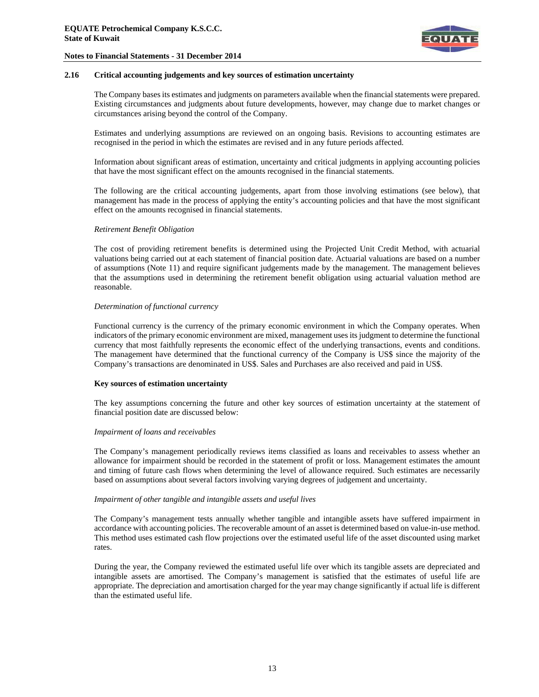

#### **2.16 Critical accounting judgements and key sources of estimation uncertainty**

The Company bases its estimates and judgments on parameters available when the financial statements were prepared. Existing circumstances and judgments about future developments, however, may change due to market changes or circumstances arising beyond the control of the Company.

Estimates and underlying assumptions are reviewed on an ongoing basis. Revisions to accounting estimates are recognised in the period in which the estimates are revised and in any future periods affected.

Information about significant areas of estimation, uncertainty and critical judgments in applying accounting policies that have the most significant effect on the amounts recognised in the financial statements.

The following are the critical accounting judgements, apart from those involving estimations (see below), that management has made in the process of applying the entity's accounting policies and that have the most significant effect on the amounts recognised in financial statements.

#### *Retirement Benefit Obligation*

The cost of providing retirement benefits is determined using the Projected Unit Credit Method, with actuarial valuations being carried out at each statement of financial position date. Actuarial valuations are based on a number of assumptions (Note 11) and require significant judgements made by the management. The management believes that the assumptions used in determining the retirement benefit obligation using actuarial valuation method are reasonable.

#### *Determination of functional currency*

Functional currency is the currency of the primary economic environment in which the Company operates. When indicators of the primary economic environment are mixed, management uses its judgment to determine the functional currency that most faithfully represents the economic effect of the underlying transactions, events and conditions. The management have determined that the functional currency of the Company is US\$ since the majority of the Company's transactions are denominated in US\$. Sales and Purchases are also received and paid in US\$.

#### **Key sources of estimation uncertainty**

The key assumptions concerning the future and other key sources of estimation uncertainty at the statement of financial position date are discussed below:

#### *Impairment of loans and receivables*

The Company's management periodically reviews items classified as loans and receivables to assess whether an allowance for impairment should be recorded in the statement of profit or loss. Management estimates the amount and timing of future cash flows when determining the level of allowance required. Such estimates are necessarily based on assumptions about several factors involving varying degrees of judgement and uncertainty.

#### *Impairment of other tangible and intangible assets and useful lives*

The Company's management tests annually whether tangible and intangible assets have suffered impairment in accordance with accounting policies. The recoverable amount of an asset is determined based on value-in-use method. This method uses estimated cash flow projections over the estimated useful life of the asset discounted using market rates.

During the year, the Company reviewed the estimated useful life over which its tangible assets are depreciated and intangible assets are amortised. The Company's management is satisfied that the estimates of useful life are appropriate. The depreciation and amortisation charged for the year may change significantly if actual life is different than the estimated useful life.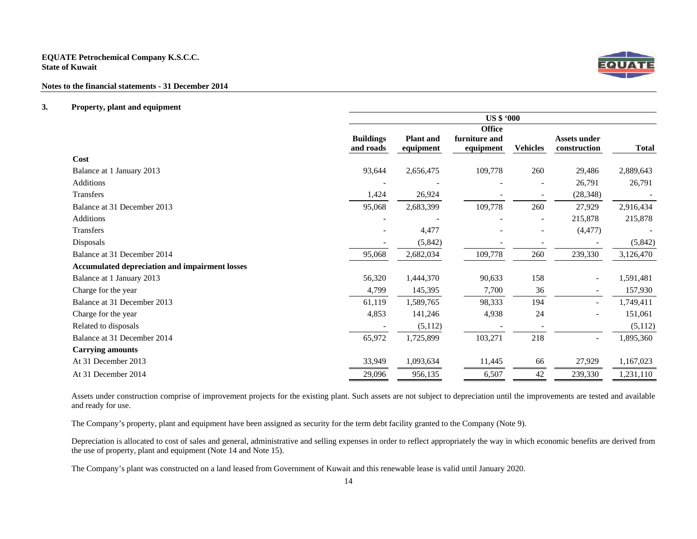# **EQUATE Petrochemical Company K.S.C.C. State of Kuwait**



#### **3.Property, plant and equipment**

|                                                       |                               | <b>US \$ '000</b>             |                                             |                          |                                     |           |
|-------------------------------------------------------|-------------------------------|-------------------------------|---------------------------------------------|--------------------------|-------------------------------------|-----------|
|                                                       | <b>Buildings</b><br>and roads | <b>Plant</b> and<br>equipment | <b>Office</b><br>furniture and<br>equipment | <b>Vehicles</b>          | <b>Assets under</b><br>construction | Total     |
| Cost                                                  |                               |                               |                                             |                          |                                     |           |
| Balance at 1 January 2013                             | 93,644                        | 2,656,475                     | 109,778                                     | 260                      | 29,486                              | 2,889,643 |
| Additions                                             |                               |                               |                                             |                          | 26,791                              | 26,791    |
| Transfers                                             | 1,424                         | 26,924                        |                                             |                          | (28, 348)                           |           |
| Balance at 31 December 2013                           | 95,068                        | 2,683,399                     | 109,778                                     | 260                      | 27,929                              | 2,916,434 |
| Additions                                             |                               |                               |                                             | $\overline{\phantom{a}}$ | 215,878                             | 215,878   |
| Transfers                                             |                               | 4,477                         |                                             | $\overline{\phantom{a}}$ | (4, 477)                            |           |
| Disposals                                             |                               | (5,842)                       |                                             | ٠                        |                                     | (5,842)   |
| Balance at 31 December 2014                           | 95,068                        | 2,682,034                     | 109,778                                     | 260                      | 239,330                             | 3,126,470 |
| <b>Accumulated depreciation and impairment losses</b> |                               |                               |                                             |                          |                                     |           |
| Balance at 1 January 2013                             | 56,320                        | 1,444,370                     | 90,633                                      | 158                      |                                     | 1,591,481 |
| Charge for the year                                   | 4,799                         | 145,395                       | 7,700                                       | 36                       |                                     | 157,930   |
| Balance at 31 December 2013                           | 61,119                        | 1,589,765                     | 98,333                                      | 194                      |                                     | 1,749,411 |
| Charge for the year                                   | 4,853                         | 141,246                       | 4,938                                       | 24                       |                                     | 151,061   |
| Related to disposals                                  |                               | (5,112)                       |                                             |                          |                                     | (5,112)   |
| Balance at 31 December 2014                           | 65,972                        | 1,725,899                     | 103,271                                     | 218                      |                                     | 1,895,360 |
| <b>Carrying amounts</b>                               |                               |                               |                                             |                          |                                     |           |
| At 31 December 2013                                   | 33,949                        | 1,093,634                     | 11,445                                      | 66                       | 27,929                              | 1,167,023 |
| At 31 December 2014                                   | 29,096                        | 956,135                       | 6,507                                       | 42                       | 239,330                             | 1,231,110 |

Assets under construction comprise of improvement projects for the existing plant. Such assets are not subject to depreciation until the improvements are tested and available and ready for use.

The Company's property, plant and equipment have been assigned as security for the term debt facility granted to the Company (Note 9).

Depreciation is allocated to cost of sales and general, administrative and selling expenses in order to reflect appropriately the way in which economic benefits are derived from the use of property, plant and equipment (Note 14 and Note 15).

The Company's plant was constructed on a land leased from Government of Kuwait and this renewable lease is valid until January 2020.

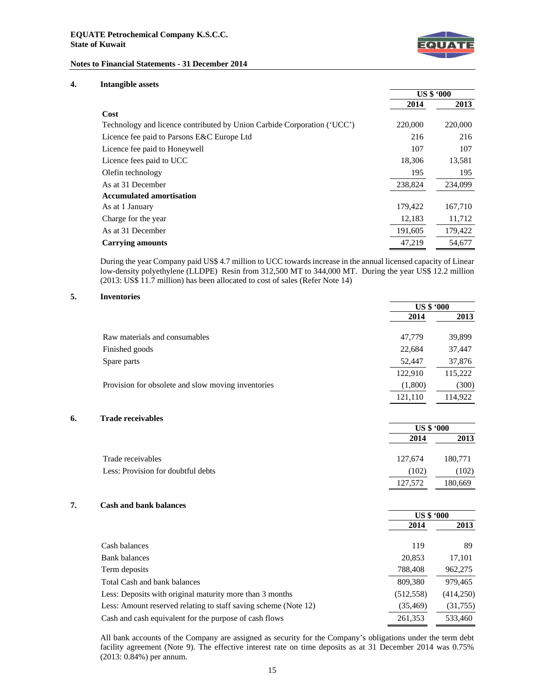

# **4. Intangible assets**

|                                                                         | <b>US \$ '000</b> |         |
|-------------------------------------------------------------------------|-------------------|---------|
|                                                                         | 2014              | 2013    |
| Cost                                                                    |                   |         |
| Technology and licence contributed by Union Carbide Corporation ('UCC') | 220,000           | 220,000 |
| Licence fee paid to Parsons E&C Europe Ltd                              | 216               | 216     |
| Licence fee paid to Honeywell                                           | 107               | 107     |
| Licence fees paid to UCC                                                | 18,306            | 13,581  |
| Olefin technology                                                       | 195               | 195     |
| As at 31 December                                                       | 238,824           | 234,099 |
| <b>Accumulated amortisation</b>                                         |                   |         |
| As at 1 January                                                         | 179.422           | 167,710 |
| Charge for the year                                                     | 12,183            | 11,712  |
| As at 31 December                                                       | 191,605           | 179,422 |
| <b>Carrying amounts</b>                                                 | 47,219            | 54,677  |

During the year Company paid US\$ 4.7 million to UCC towards increase in the annual licensed capacity of Linear low-density polyethylene (LLDPE) Resin from 312,500 MT to 344,000 MT. During the year US\$ 12.2 million (2013: US\$ 11.7 million) has been allocated to cost of sales (Refer Note 14)

# **5. Inventories**

|    |                                                                 | <b>US \$ '000</b> |            |
|----|-----------------------------------------------------------------|-------------------|------------|
|    |                                                                 | 2014              | 2013       |
|    | Raw materials and consumables                                   | 47,779            | 39,899     |
|    | Finished goods                                                  | 22,684            | 37,447     |
|    | Spare parts                                                     | 52,447            | 37,876     |
|    |                                                                 | 122,910           | 115,222    |
|    | Provision for obsolete and slow moving inventories              | (1,800)           | (300)      |
|    |                                                                 | 121,110           | 114,922    |
| 6. | <b>Trade receivables</b>                                        |                   |            |
|    |                                                                 | <b>US \$ '000</b> |            |
|    |                                                                 | 2014              | 2013       |
|    | Trade receivables                                               | 127,674           | 180,771    |
|    | Less: Provision for doubtful debts                              | (102)             | (102)      |
|    |                                                                 | 127,572           | 180,669    |
| 7. | <b>Cash and bank balances</b>                                   |                   |            |
|    |                                                                 | <b>US \$ '000</b> |            |
|    |                                                                 | 2014              | 2013       |
|    | Cash balances                                                   | 119               | 89         |
|    | <b>Bank balances</b>                                            | 20,853            | 17,101     |
|    | Term deposits                                                   | 788,408           | 962,275    |
|    | Total Cash and bank balances                                    | 809,380           | 979,465    |
|    | Less: Deposits with original maturity more than 3 months        | (512, 558)        | (414, 250) |
|    | Less: Amount reserved relating to staff saving scheme (Note 12) | (35, 469)         | (31,755)   |

Cash and cash equivalent for the purpose of cash flows 261,353 533,460

All bank accounts of the Company are assigned as security for the Company's obligations under the term debt facility agreement (Note 9). The effective interest rate on time deposits as at 31 December 2014 was 0.75% (2013: 0.84%) per annum.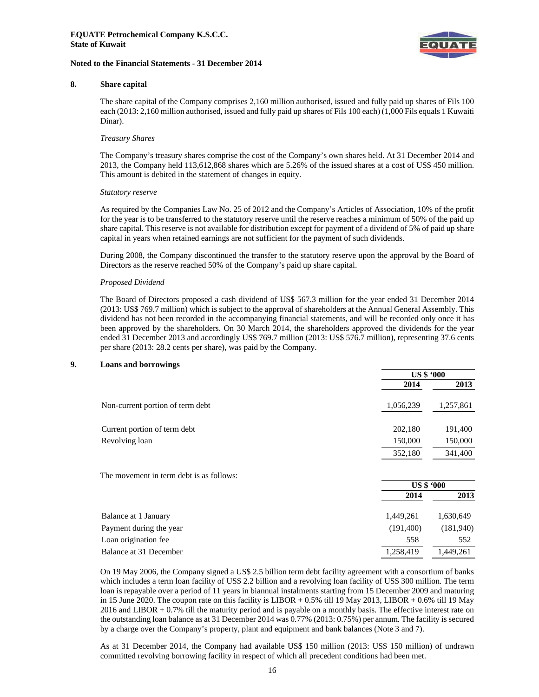

#### **8. Share capital**

The share capital of the Company comprises 2,160 million authorised, issued and fully paid up shares of Fils 100 each (2013: 2,160 million authorised, issued and fully paid up shares of Fils 100 each) (1,000 Fils equals 1 Kuwaiti Dinar).

#### *Treasury Shares*

The Company's treasury shares comprise the cost of the Company's own shares held. At 31 December 2014 and 2013, the Company held 113,612,868 shares which are 5.26% of the issued shares at a cost of US\$ 450 million. This amount is debited in the statement of changes in equity.

#### *Statutory reserve*

As required by the Companies Law No. 25 of 2012 and the Company's Articles of Association, 10% of the profit for the year is to be transferred to the statutory reserve until the reserve reaches a minimum of 50% of the paid up share capital. This reserve is not available for distribution except for payment of a dividend of 5% of paid up share capital in years when retained earnings are not sufficient for the payment of such dividends.

During 2008, the Company discontinued the transfer to the statutory reserve upon the approval by the Board of Directors as the reserve reached 50% of the Company's paid up share capital.

#### *Proposed Dividend*

The Board of Directors proposed a cash dividend of US\$ 567.3 million for the year ended 31 December 2014 (2013: US\$ 769.7 million) which is subject to the approval of shareholders at the Annual General Assembly. This dividend has not been recorded in the accompanying financial statements, and will be recorded only once it has been approved by the shareholders. On 30 March 2014, the shareholders approved the dividends for the year ended 31 December 2013 and accordingly US\$ 769.7 million (2013: US\$ 576.7 million), representing 37.6 cents per share (2013: 28.2 cents per share), was paid by the Company.

#### **9. Loans and borrowings**

|                                          |                   | <b>US \$ '000</b> |  |  |
|------------------------------------------|-------------------|-------------------|--|--|
|                                          | 2014              | 2013              |  |  |
| Non-current portion of term debt         | 1,056,239         | 1,257,861         |  |  |
| Current portion of term debt             | 202,180           | 191,400           |  |  |
| Revolving loan                           | 150,000           | 150,000           |  |  |
|                                          | 352,180           | 341,400           |  |  |
| The movement in term debt is as follows: |                   |                   |  |  |
|                                          | <b>US \$ '000</b> |                   |  |  |
|                                          | 2014              | 2013              |  |  |
| Balance at 1 January                     | 1,449,261         | 1,630,649         |  |  |
| Payment during the year                  | (191,400)         | (181,940)         |  |  |
| Loan origination fee                     | 558               | 552               |  |  |
| Balance at 31 December                   | 1,258,419         | 1,449,261         |  |  |

On 19 May 2006, the Company signed a US\$ 2.5 billion term debt facility agreement with a consortium of banks which includes a term loan facility of US\$ 2.2 billion and a revolving loan facility of US\$ 300 million. The term loan is repayable over a period of 11 years in biannual instalments starting from 15 December 2009 and maturing in 15 June 2020. The coupon rate on this facility is LIBOR + 0.5% till 19 May 2013, LIBOR + 0.6% till 19 May 2016 and LIBOR + 0.7% till the maturity period and is payable on a monthly basis. The effective interest rate on the outstanding loan balance as at 31 December 2014 was 0.77% (2013: 0.75%) per annum. The facility is secured by a charge over the Company's property, plant and equipment and bank balances (Note 3 and 7).

As at 31 December 2014, the Company had available US\$ 150 million (2013: US\$ 150 million) of undrawn committed revolving borrowing facility in respect of which all precedent conditions had been met.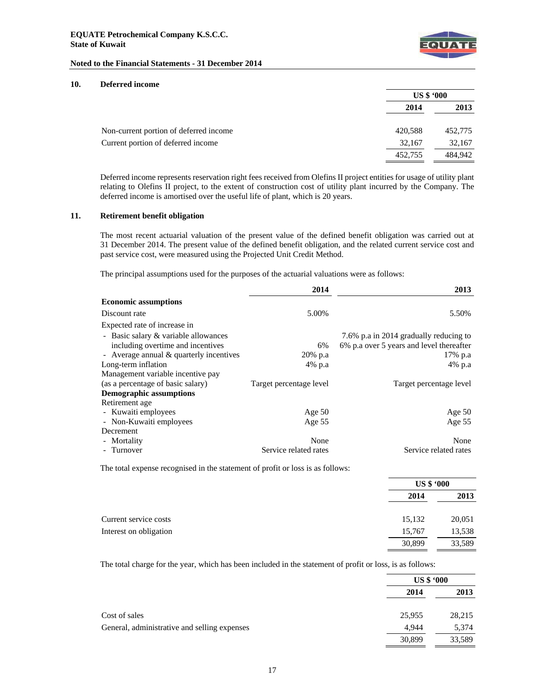

### **10. Deferred income**

|                                        | <b>US \$ '000</b> |         |
|----------------------------------------|-------------------|---------|
|                                        | 2014              | 2013    |
| Non-current portion of deferred income | 420,588           | 452,775 |
| Current portion of deferred income     | 32,167            | 32,167  |
|                                        | 452,755           | 484,942 |

Deferred income represents reservation right fees received from Olefins II project entities for usage of utility plant relating to Olefins II project, to the extent of construction cost of utility plant incurred by the Company. The deferred income is amortised over the useful life of plant, which is 20 years.

#### **11. Retirement benefit obligation**

The most recent actuarial valuation of the present value of the defined benefit obligation was carried out at 31 December 2014. The present value of the defined benefit obligation, and the related current service cost and past service cost, were measured using the Projected Unit Credit Method.

The principal assumptions used for the purposes of the actuarial valuations were as follows:

|                                         | 2014                    | 2013                                     |
|-----------------------------------------|-------------------------|------------------------------------------|
| <b>Economic assumptions</b>             |                         |                                          |
| Discount rate                           | 5.00%                   | 5.50%                                    |
| Expected rate of increase in            |                         |                                          |
| - Basic salary & variable allowances    |                         | 7.6% p.a in 2014 gradually reducing to   |
| including overtime and incentives       | 6%                      | 6% p.a over 5 years and level thereafter |
| - Average annual & quarterly incentives | 20% p.a                 | 17% p.a                                  |
| Long-term inflation                     | 4% p.a                  | 4% p.a                                   |
| Management variable incentive pay       |                         |                                          |
| (as a percentage of basic salary)       | Target percentage level | Target percentage level                  |
| <b>Demographic assumptions</b>          |                         |                                          |
| Retirement age                          |                         |                                          |
| - Kuwaiti employees                     | Age $50$                | Age $50$                                 |
| - Non-Kuwaiti employees                 | Age $55$                | Age 55                                   |
| Decrement                               |                         |                                          |
| - Mortality                             | None                    | None                                     |
| - Turnover                              | Service related rates   | Service related rates                    |

The total expense recognised in the statement of profit or loss is as follows:

|                        |        | <b>US \$ '000</b> |  |
|------------------------|--------|-------------------|--|
|                        | 2014   | 2013              |  |
| Current service costs  | 15,132 | 20,051            |  |
| Interest on obligation | 15,767 | 13,538            |  |
|                        | 30,899 | 33,589            |  |

The total charge for the year, which has been included in the statement of profit or loss, is as follows:

|                                              |        | <b>US \$ '000</b> |  |
|----------------------------------------------|--------|-------------------|--|
|                                              | 2014   | 2013              |  |
| Cost of sales                                | 25,955 | 28,215            |  |
| General, administrative and selling expenses | 4.944  | 5,374             |  |
|                                              | 30,899 | 33,589            |  |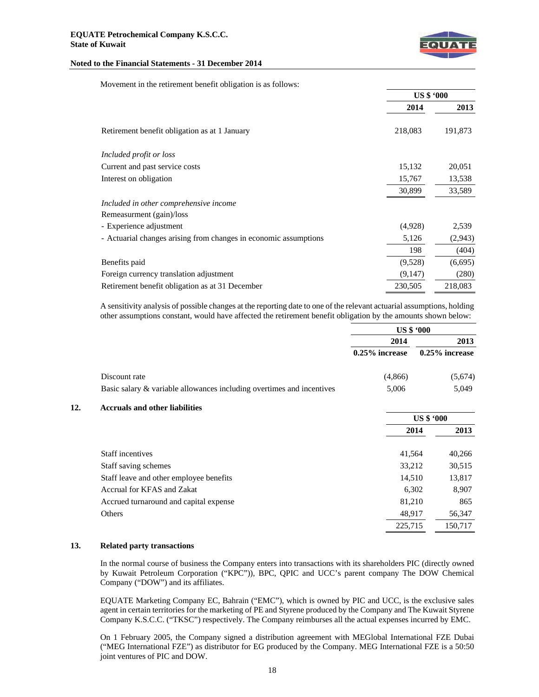

Movement in the retirement benefit obligation is as follows:

|                                                                  | <b>US \$ '000</b> |         |
|------------------------------------------------------------------|-------------------|---------|
|                                                                  | 2014              | 2013    |
| Retirement benefit obligation as at 1 January                    | 218,083           | 191,873 |
| Included profit or loss                                          |                   |         |
| Current and past service costs                                   | 15,132            | 20,051  |
| Interest on obligation                                           | 15,767            | 13,538  |
|                                                                  | 30,899            | 33,589  |
| Included in other comprehensive income                           |                   |         |
| Remeasurment (gain)/loss                                         |                   |         |
| - Experience adjustment                                          | (4,928)           | 2,539   |
| - Actuarial changes arising from changes in economic assumptions | 5,126             | (2,943) |
|                                                                  | 198               | (404)   |
| Benefits paid                                                    | (9,528)           | (6,695) |
| Foreign currency translation adjustment                          | (9,147)           | (280)   |
| Retirement benefit obligation as at 31 December                  | 230,505           | 218,083 |

A sensitivity analysis of possible changes at the reporting date to one of the relevant actuarial assumptions, holding other assumptions constant, would have affected the retirement benefit obligation by the amounts shown below:

|     |                                                                       | <b>US \$ '000</b> |         |                   |
|-----|-----------------------------------------------------------------------|-------------------|---------|-------------------|
|     |                                                                       | 2014              |         | 2013              |
|     |                                                                       | $0.25\%$ increase |         | $0.25\%$ increase |
|     | Discount rate                                                         | (4,866)           |         | (5,674)           |
|     | Basic salary & variable allowances including overtimes and incentives | 5,006             |         | 5,049             |
| 12. | <b>Accruals and other liabilities</b>                                 |                   |         |                   |
|     |                                                                       |                   |         | <b>US \$ '000</b> |
|     |                                                                       |                   | 2014    | 2013              |
|     | Staff incentives                                                      |                   | 41,564  | 40,266            |
|     | Staff saving schemes                                                  |                   | 33,212  | 30,515            |
|     | Staff leave and other employee benefits                               |                   | 14,510  | 13,817            |
|     | Accrual for KFAS and Zakat                                            |                   | 6,302   | 8,907             |
|     | Accrued turnaround and capital expense                                |                   | 81,210  | 865               |
|     | Others                                                                |                   | 48,917  | 56,347            |
|     |                                                                       |                   | 225,715 | 150,717           |

#### **13. Related party transactions**

In the normal course of business the Company enters into transactions with its shareholders PIC (directly owned by Kuwait Petroleum Corporation ("KPC")), BPC, QPIC and UCC's parent company The DOW Chemical Company ("DOW") and its affiliates.

EQUATE Marketing Company EC, Bahrain ("EMC"), which is owned by PIC and UCC, is the exclusive sales agent in certain territories for the marketing of PE and Styrene produced by the Company and The Kuwait Styrene Company K.S.C.C. ("TKSC") respectively. The Company reimburses all the actual expenses incurred by EMC.

On 1 February 2005, the Company signed a distribution agreement with MEGlobal International FZE Dubai ("MEG International FZE") as distributor for EG produced by the Company. MEG International FZE is a 50:50 joint ventures of PIC and DOW.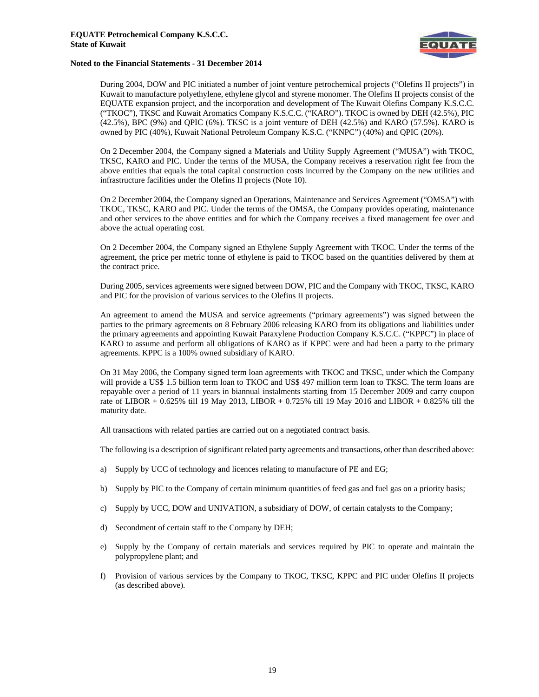

During 2004, DOW and PIC initiated a number of joint venture petrochemical projects ("Olefins II projects") in Kuwait to manufacture polyethylene, ethylene glycol and styrene monomer. The Olefins II projects consist of the EQUATE expansion project, and the incorporation and development of The Kuwait Olefins Company K.S.C.C. ("TKOC"), TKSC and Kuwait Aromatics Company K.S.C.C. ("KARO"). TKOC is owned by DEH (42.5%), PIC (42.5%), BPC (9%) and QPIC (6%). TKSC is a joint venture of DEH (42.5%) and KARO (57.5%). KARO is owned by PIC (40%), Kuwait National Petroleum Company K.S.C. ("KNPC") (40%) and QPIC (20%).

On 2 December 2004, the Company signed a Materials and Utility Supply Agreement ("MUSA") with TKOC, TKSC, KARO and PIC. Under the terms of the MUSA, the Company receives a reservation right fee from the above entities that equals the total capital construction costs incurred by the Company on the new utilities and infrastructure facilities under the Olefins II projects (Note 10).

On 2 December 2004, the Company signed an Operations, Maintenance and Services Agreement ("OMSA") with TKOC, TKSC, KARO and PIC. Under the terms of the OMSA, the Company provides operating, maintenance and other services to the above entities and for which the Company receives a fixed management fee over and above the actual operating cost.

On 2 December 2004, the Company signed an Ethylene Supply Agreement with TKOC. Under the terms of the agreement, the price per metric tonne of ethylene is paid to TKOC based on the quantities delivered by them at the contract price.

During 2005, services agreements were signed between DOW, PIC and the Company with TKOC, TKSC, KARO and PIC for the provision of various services to the Olefins II projects.

An agreement to amend the MUSA and service agreements ("primary agreements") was signed between the parties to the primary agreements on 8 February 2006 releasing KARO from its obligations and liabilities under the primary agreements and appointing Kuwait Paraxylene Production Company K.S.C.C. ("KPPC") in place of KARO to assume and perform all obligations of KARO as if KPPC were and had been a party to the primary agreements. KPPC is a 100% owned subsidiary of KARO.

On 31 May 2006, the Company signed term loan agreements with TKOC and TKSC, under which the Company will provide a US\$ 1.5 billion term loan to TKOC and US\$ 497 million term loan to TKSC. The term loans are repayable over a period of 11 years in biannual instalments starting from 15 December 2009 and carry coupon rate of LIBOR + 0.625% till 19 May 2013, LIBOR + 0.725% till 19 May 2016 and LIBOR + 0.825% till the maturity date.

All transactions with related parties are carried out on a negotiated contract basis.

The following is a description of significant related party agreements and transactions, other than described above:

- a) Supply by UCC of technology and licences relating to manufacture of PE and EG;
- b) Supply by PIC to the Company of certain minimum quantities of feed gas and fuel gas on a priority basis;
- c) Supply by UCC, DOW and UNIVATION, a subsidiary of DOW, of certain catalysts to the Company;
- d) Secondment of certain staff to the Company by DEH;
- e) Supply by the Company of certain materials and services required by PIC to operate and maintain the polypropylene plant; and
- f) Provision of various services by the Company to TKOC, TKSC, KPPC and PIC under Olefins II projects (as described above).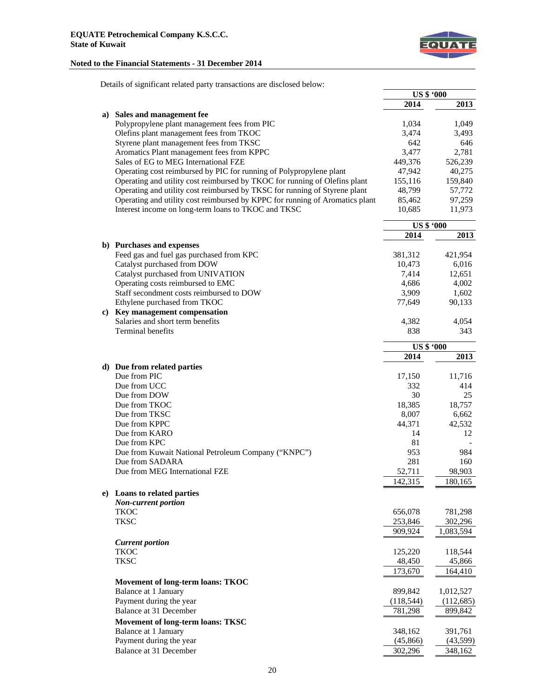

Details of significant related party transactions are disclosed below:

|                                                                              | <b>US \$ '000</b> |                    |
|------------------------------------------------------------------------------|-------------------|--------------------|
|                                                                              | 2014              | 2013               |
| a) Sales and management fee                                                  |                   |                    |
| Polypropylene plant management fees from PIC                                 | 1,034             | 1,049              |
| Olefins plant management fees from TKOC                                      | 3,474             | 3,493              |
| Styrene plant management fees from TKSC                                      | 642               | 646                |
| Aromatics Plant management fees from KPPC                                    | 3,477             | 2,781              |
| Sales of EG to MEG International FZE                                         | 449,376           | 526,239            |
| Operating cost reimbursed by PIC for running of Polypropylene plant          | 47,942            | 40,275             |
| Operating and utility cost reimbursed by TKOC for running of Olefins plant   | 155,116           | 159,840            |
| Operating and utility cost reimbursed by TKSC for running of Styrene plant   | 48,799            | 57,772             |
| Operating and utility cost reimbursed by KPPC for running of Aromatics plant | 85,462            | 97,259             |
| Interest income on long-term loans to TKOC and TKSC                          | 10,685            | 11,973             |
|                                                                              | <b>US \$ '000</b> |                    |
|                                                                              | 2014              |                    |
|                                                                              |                   | 2013               |
| b) Purchases and expenses<br>Feed gas and fuel gas purchased from KPC        | 381,312           | 421,954            |
| Catalyst purchased from DOW                                                  | 10,473            | 6,016              |
| Catalyst purchased from UNIVATION                                            | 7,414             | 12,651             |
| Operating costs reimbursed to EMC                                            | 4,686             | 4,002              |
| Staff secondment costs reimbursed to DOW                                     | 3,909             | 1,602              |
| Ethylene purchased from TKOC                                                 | 77,649            | 90,133             |
| c) Key management compensation                                               |                   |                    |
| Salaries and short term benefits                                             | 4,382             | 4,054              |
| Terminal benefits                                                            | 838               | 343                |
|                                                                              |                   |                    |
|                                                                              | <b>US \$ '000</b> |                    |
|                                                                              | 2014              | 2013               |
| d) Due from related parties                                                  |                   |                    |
| Due from PIC                                                                 | 17,150            | 11,716             |
| Due from UCC                                                                 | 332               | 414                |
| Due from DOW                                                                 | 30                | 25                 |
| Due from TKOC                                                                | 18,385            | 18,757             |
| Due from TKSC                                                                | 8,007             | 6,662              |
| Due from KPPC                                                                | 44,371            | 42,532             |
| Due from KARO                                                                | 14                | 12                 |
| Due from KPC                                                                 | 81                |                    |
| Due from Kuwait National Petroleum Company ("KNPC")<br>Due from SADARA       | 953<br>281        | 984<br>160         |
| Due from MEG International FZE                                               | 52,711            | 98,903             |
|                                                                              | 142.315           | 180.165            |
|                                                                              |                   |                    |
| e) Loans to related parties                                                  |                   |                    |
| Non-current portion<br><b>TKOC</b>                                           | 656,078           |                    |
| <b>TKSC</b>                                                                  | 253,846           | 781,298<br>302,296 |
|                                                                              | 909,924           | 1,083,594          |
|                                                                              |                   |                    |
| <b>Current portion</b><br><b>TKOC</b>                                        |                   |                    |
| <b>TKSC</b>                                                                  | 125,220<br>48,450 | 118,544            |
|                                                                              | 173,670           | 45,866<br>164,410  |
|                                                                              |                   |                    |
| Movement of long-term loans: TKOC                                            |                   |                    |
| Balance at 1 January                                                         | 899,842           | 1,012,527          |
| Payment during the year<br>Balance at 31 December                            | (118, 544)        | (112, 685)         |
|                                                                              | 781,298           | 899,842            |
| Movement of long-term loans: TKSC                                            |                   |                    |
| Balance at 1 January                                                         | 348,162           | 391,761            |
| Payment during the year                                                      | (45, 866)         | (43,599)           |
| <b>Balance at 31 December</b>                                                | 302,296           | 348,162            |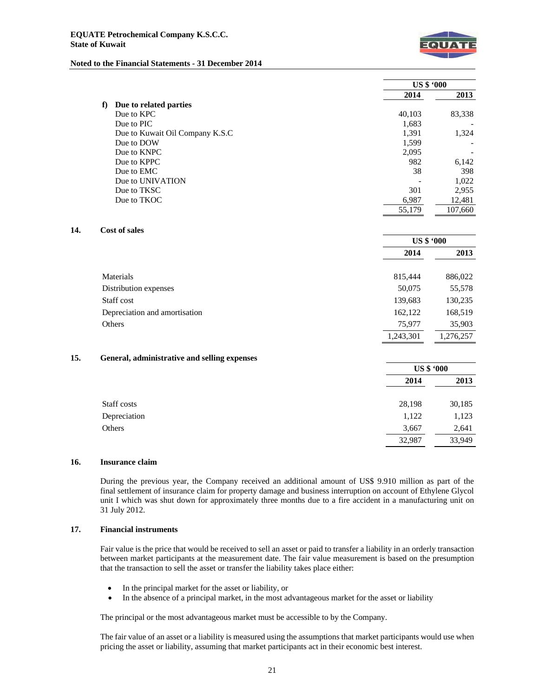#### **EQUATE Petrochemical Company K.S.C.C. State of Kuwait**





**US \$ '000** 

|                                  |        | <b>US \$ '000</b> |  |
|----------------------------------|--------|-------------------|--|
|                                  | 2014   | 2013              |  |
| Due to related parties<br>f)     |        |                   |  |
| Due to KPC                       | 40,103 | 83,338            |  |
| Due to PIC                       | 1,683  |                   |  |
| Due to Kuwait Oil Company K.S.C. | 1,391  | 1,324             |  |
| Due to DOW                       | 1,599  |                   |  |
| Due to KNPC                      | 2,095  |                   |  |
| Due to KPPC                      | 982    | 6,142             |  |
| Due to EMC                       | 38     | 398               |  |
| Due to UNIVATION                 |        | 1,022             |  |
| Due to TKSC                      | 301    | 2,955             |  |
| Due to TKOC                      | 6,987  | 12,481            |  |
|                                  | 55,179 | 107,660           |  |

#### **14. Cost of sales**

|                               | UU V VVV  |           |
|-------------------------------|-----------|-----------|
|                               | 2014      | 2013      |
| Materials                     | 815,444   | 886,022   |
| Distribution expenses         | 50,075    | 55,578    |
| Staff cost                    | 139,683   | 130,235   |
| Depreciation and amortisation | 162,122   | 168,519   |
| Others                        | 75,977    | 35,903    |
|                               | 1,243,301 | 1,276,257 |

#### **15. General, administrative and selling expenses**

|              |        | <b>US \$ '000</b> |  |
|--------------|--------|-------------------|--|
|              | 2014   | 2013              |  |
| Staff costs  | 28,198 | 30,185            |  |
| Depreciation | 1,122  | 1,123             |  |
| Others       | 3,667  | 2,641             |  |
|              | 32,987 | 33,949            |  |

#### **16. Insurance claim**

During the previous year, the Company received an additional amount of US\$ 9.910 million as part of the final settlement of insurance claim for property damage and business interruption on account of Ethylene Glycol unit I which was shut down for approximately three months due to a fire accident in a manufacturing unit on 31 July 2012.

#### **17. Financial instruments**

Fair value is the price that would be received to sell an asset or paid to transfer a liability in an orderly transaction between market participants at the measurement date. The fair value measurement is based on the presumption that the transaction to sell the asset or transfer the liability takes place either:

- In the principal market for the asset or liability, or
- In the absence of a principal market, in the most advantageous market for the asset or liability

The principal or the most advantageous market must be accessible to by the Company.

The fair value of an asset or a liability is measured using the assumptions that market participants would use when pricing the asset or liability, assuming that market participants act in their economic best interest.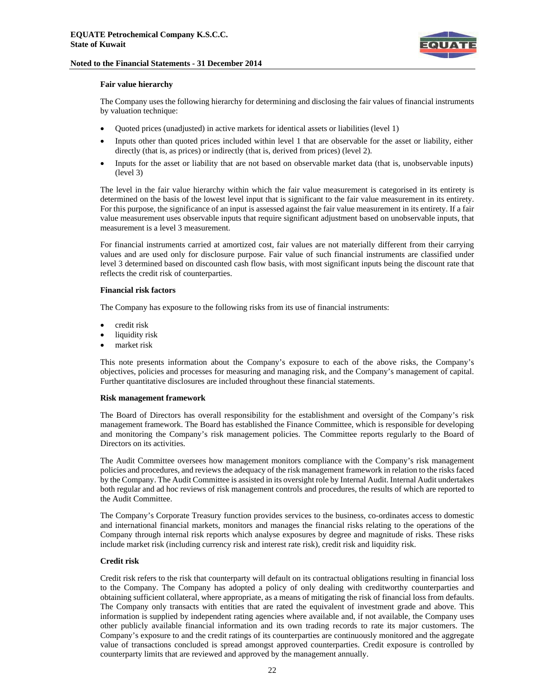

#### **Fair value hierarchy**

The Company uses the following hierarchy for determining and disclosing the fair values of financial instruments by valuation technique:

- Quoted prices (unadjusted) in active markets for identical assets or liabilities (level 1)
- Inputs other than quoted prices included within level 1 that are observable for the asset or liability, either directly (that is, as prices) or indirectly (that is, derived from prices) (level 2).
- Inputs for the asset or liability that are not based on observable market data (that is, unobservable inputs) (level 3)

The level in the fair value hierarchy within which the fair value measurement is categorised in its entirety is determined on the basis of the lowest level input that is significant to the fair value measurement in its entirety. For this purpose, the significance of an input is assessed against the fair value measurement in its entirety. If a fair value measurement uses observable inputs that require significant adjustment based on unobservable inputs, that measurement is a level 3 measurement.

For financial instruments carried at amortized cost, fair values are not materially different from their carrying values and are used only for disclosure purpose. Fair value of such financial instruments are classified under level 3 determined based on discounted cash flow basis, with most significant inputs being the discount rate that reflects the credit risk of counterparties.

#### **Financial risk factors**

The Company has exposure to the following risks from its use of financial instruments:

- credit risk
- liquidity risk
- market risk

This note presents information about the Company's exposure to each of the above risks, the Company's objectives, policies and processes for measuring and managing risk, and the Company's management of capital. Further quantitative disclosures are included throughout these financial statements.

#### **Risk management framework**

The Board of Directors has overall responsibility for the establishment and oversight of the Company's risk management framework. The Board has established the Finance Committee, which is responsible for developing and monitoring the Company's risk management policies. The Committee reports regularly to the Board of Directors on its activities.

The Audit Committee oversees how management monitors compliance with the Company's risk management policies and procedures, and reviews the adequacy of the risk management framework in relation to the risks faced by the Company. The Audit Committee is assisted in its oversight role by Internal Audit. Internal Audit undertakes both regular and ad hoc reviews of risk management controls and procedures, the results of which are reported to the Audit Committee.

The Company's Corporate Treasury function provides services to the business, co-ordinates access to domestic and international financial markets, monitors and manages the financial risks relating to the operations of the Company through internal risk reports which analyse exposures by degree and magnitude of risks. These risks include market risk (including currency risk and interest rate risk), credit risk and liquidity risk.

#### **Credit risk**

Credit risk refers to the risk that counterparty will default on its contractual obligations resulting in financial loss to the Company. The Company has adopted a policy of only dealing with creditworthy counterparties and obtaining sufficient collateral, where appropriate, as a means of mitigating the risk of financial loss from defaults. The Company only transacts with entities that are rated the equivalent of investment grade and above. This information is supplied by independent rating agencies where available and, if not available, the Company uses other publicly available financial information and its own trading records to rate its major customers. The Company's exposure to and the credit ratings of its counterparties are continuously monitored and the aggregate value of transactions concluded is spread amongst approved counterparties. Credit exposure is controlled by counterparty limits that are reviewed and approved by the management annually.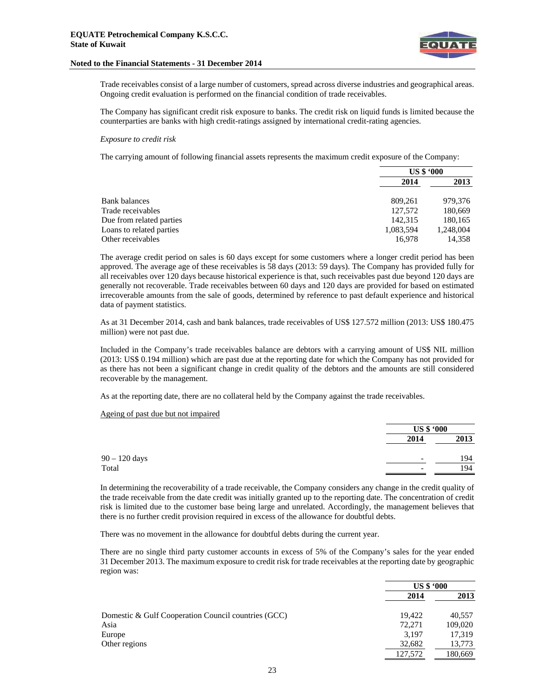

Trade receivables consist of a large number of customers, spread across diverse industries and geographical areas. Ongoing credit evaluation is performed on the financial condition of trade receivables.

The Company has significant credit risk exposure to banks. The credit risk on liquid funds is limited because the counterparties are banks with high credit-ratings assigned by international credit-rating agencies.

#### *Exposure to credit risk*

The carrying amount of following financial assets represents the maximum credit exposure of the Company:

|                          | <b>US \$ '000</b> |           |
|--------------------------|-------------------|-----------|
|                          | 2014              | 2013      |
| <b>Bank</b> balances     | 809,261           | 979,376   |
| Trade receivables        | 127,572           | 180,669   |
| Due from related parties | 142,315           | 180,165   |
| Loans to related parties | 1,083,594         | 1,248,004 |
| Other receivables        | 16.978            | 14,358    |

The average credit period on sales is 60 days except for some customers where a longer credit period has been approved. The average age of these receivables is 58 days (2013: 59 days). The Company has provided fully for all receivables over 120 days because historical experience is that, such receivables past due beyond 120 days are generally not recoverable. Trade receivables between 60 days and 120 days are provided for based on estimated irrecoverable amounts from the sale of goods, determined by reference to past default experience and historical data of payment statistics.

As at 31 December 2014, cash and bank balances, trade receivables of US\$ 127.572 million (2013: US\$ 180.475 million) were not past due.

Included in the Company's trade receivables balance are debtors with a carrying amount of US\$ NIL million (2013: US\$ 0.194 million) which are past due at the reporting date for which the Company has not provided for as there has not been a significant change in credit quality of the debtors and the amounts are still considered recoverable by the management.

As at the reporting date, there are no collateral held by the Company against the trade receivables.

#### Ageing of past due but not impaired

| <b>US \$ '000</b> |
|-------------------|
| 2014              |
| -                 |
|                   |

In determining the recoverability of a trade receivable, the Company considers any change in the credit quality of the trade receivable from the date credit was initially granted up to the reporting date. The concentration of credit risk is limited due to the customer base being large and unrelated. Accordingly, the management believes that there is no further credit provision required in excess of the allowance for doubtful debts.

There was no movement in the allowance for doubtful debts during the current year.

There are no single third party customer accounts in excess of 5% of the Company's sales for the year ended 31 December 2013. The maximum exposure to credit risk for trade receivables at the reporting date by geographic region was:

|                                                     | <b>US \$ '000</b> |         |
|-----------------------------------------------------|-------------------|---------|
|                                                     | 2014              | 2013    |
| Domestic & Gulf Cooperation Council countries (GCC) | 19.422            | 40,557  |
| Asia                                                | 72,271            | 109,020 |
| Europe                                              | 3.197             | 17,319  |
| Other regions                                       | 32,682            | 13,773  |
|                                                     | 127,572           | 180,669 |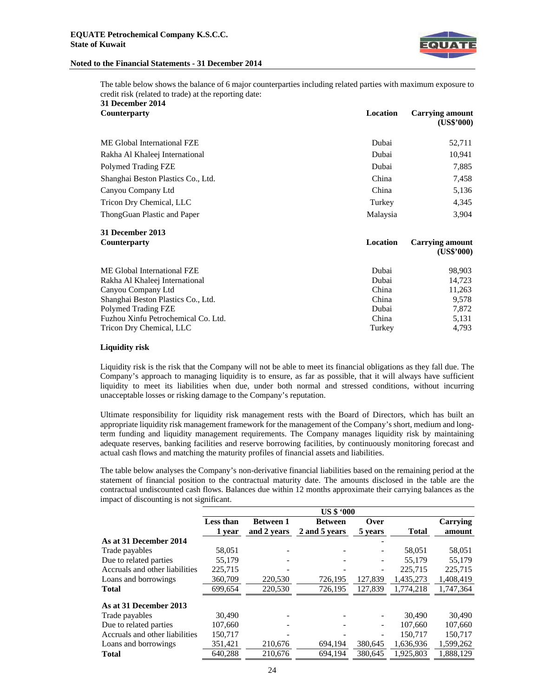

The table below shows the balance of 6 major counterparties including related parties with maximum exposure to credit risk (related to trade) at the reporting date:

| 31 December 2014<br><b>Counterparty</b> | Location | <b>Carrying amount</b>               |  |  |
|-----------------------------------------|----------|--------------------------------------|--|--|
|                                         |          | (US\$'000)                           |  |  |
| ME Global International FZE             | Dubai    | 52,711                               |  |  |
| Rakha Al Khaleej International          | Dubai    | 10,941                               |  |  |
| Polymed Trading FZE                     | Dubai    | 7,885                                |  |  |
| Shanghai Beston Plastics Co., Ltd.      | China    | 7,458                                |  |  |
| Canyou Company Ltd                      | China    | 5,136                                |  |  |
| Tricon Dry Chemical, LLC                | Turkey   | 4,345                                |  |  |
| Thong Guan Plastic and Paper            | Malaysia | 3,904                                |  |  |
| 31 December 2013                        |          |                                      |  |  |
| <b>Counterparty</b>                     | Location | <b>Carrying amount</b><br>(US\$'000) |  |  |
| ME Global International FZE             | Dubai    | 98,903                               |  |  |
| Rakha Al Khaleej International          | Dubai    | 14,723                               |  |  |
| Canyou Company Ltd                      | China    | 11,263                               |  |  |
| Shanghai Beston Plastics Co., Ltd.      | China    | 9,578                                |  |  |
| Polymed Trading FZE                     | Dubai    | 7,872                                |  |  |
| Fuzhou Xinfu Petrochemical Co. Ltd.     | China    | 5,131                                |  |  |
| Tricon Dry Chemical, LLC                | Turkey   | 4,793                                |  |  |

#### **Liquidity risk**

Liquidity risk is the risk that the Company will not be able to meet its financial obligations as they fall due. The Company's approach to managing liquidity is to ensure, as far as possible, that it will always have sufficient liquidity to meet its liabilities when due, under both normal and stressed conditions, without incurring unacceptable losses or risking damage to the Company's reputation.

Ultimate responsibility for liquidity risk management rests with the Board of Directors, which has built an appropriate liquidity risk management framework for the management of the Company's short, medium and longterm funding and liquidity management requirements. The Company manages liquidity risk by maintaining adequate reserves, banking facilities and reserve borrowing facilities, by continuously monitoring forecast and actual cash flows and matching the maturity profiles of financial assets and liabilities.

The table below analyses the Company's non-derivative financial liabilities based on the remaining period at the statement of financial position to the contractual maturity date. The amounts disclosed in the table are the contractual undiscounted cash flows. Balances due within 12 months approximate their carrying balances as the impact of discounting is not significant.

|                                | <b>US \$ '000</b> |                  |                |                              |              |           |
|--------------------------------|-------------------|------------------|----------------|------------------------------|--------------|-----------|
|                                | <b>Less than</b>  | <b>Between 1</b> | <b>Between</b> | Over                         |              | Carrying  |
|                                | 1 year            | and 2 years      | 2 and 5 years  | 5 years                      | <b>Total</b> | amount    |
| As at 31 December 2014         |                   |                  |                |                              |              |           |
| Trade payables                 | 58,051            |                  |                |                              | 58,051       | 58,051    |
| Due to related parties         | 55,179            |                  |                | $\qquad \qquad \blacksquare$ | 55,179       | 55,179    |
| Accruals and other liabilities | 225,715           |                  |                |                              | 225,715      | 225,715   |
| Loans and borrowings           | 360,709           | 220,530          | 726,195        | 127,839                      | 1,435,273    | 1,408,419 |
| <b>Total</b>                   | 699,654           | 220,530          | 726,195        | 127,839                      | 1,774,218    | 1,747,364 |
| As at 31 December 2013         |                   |                  |                |                              |              |           |
| Trade payables                 | 30,490            |                  |                | $\qquad \qquad \blacksquare$ | 30,490       | 30,490    |
| Due to related parties         | 107,660           |                  |                | $\qquad \qquad \blacksquare$ | 107,660      | 107,660   |
| Accruals and other liabilities | 150,717           |                  |                |                              | 150,717      | 150,717   |
| Loans and borrowings           | 351,421           | 210,676          | 694.194        | 380.645                      | 1,636,936    | 1,599,262 |
| <b>Total</b>                   | 640.288           | 210.676          | 694.194        | 380.645                      | 1.925.803    | 1,888,129 |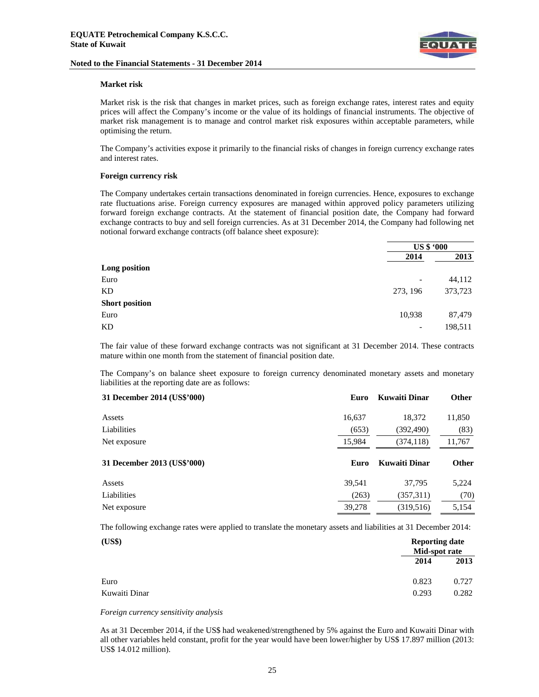

#### **Market risk**

Market risk is the risk that changes in market prices, such as foreign exchange rates, interest rates and equity prices will affect the Company's income or the value of its holdings of financial instruments. The objective of market risk management is to manage and control market risk exposures within acceptable parameters, while optimising the return.

The Company's activities expose it primarily to the financial risks of changes in foreign currency exchange rates and interest rates.

#### **Foreign currency risk**

The Company undertakes certain transactions denominated in foreign currencies. Hence, exposures to exchange rate fluctuations arise. Foreign currency exposures are managed within approved policy parameters utilizing forward foreign exchange contracts. At the statement of financial position date, the Company had forward exchange contracts to buy and sell foreign currencies. As at 31 December 2014, the Company had following net notional forward exchange contracts (off balance sheet exposure):

| <b>US \$ '000</b>        |         |
|--------------------------|---------|
| 2014                     | 2013    |
|                          |         |
| $\overline{\phantom{0}}$ | 44,112  |
| 273, 196                 | 373,723 |
|                          |         |
| 10,938                   | 87,479  |
| -                        | 198,511 |
|                          |         |

The fair value of these forward exchange contracts was not significant at 31 December 2014. These contracts mature within one month from the statement of financial position date.

The Company's on balance sheet exposure to foreign currency denominated monetary assets and monetary liabilities at the reporting date are as follows:

| 31 December 2014 (US\$'000) | Euro   | Kuwaiti Dinar | <b>Other</b> |
|-----------------------------|--------|---------------|--------------|
| Assets                      | 16,637 | 18,372        | 11,850       |
| Liabilities                 | (653)  | (392, 490)    | (83)         |
| Net exposure                | 15,984 | (374, 118)    | 11,767       |
| 31 December 2013 (US\$'000) | Euro   | Kuwaiti Dinar | <b>Other</b> |
| Assets                      |        |               |              |
|                             | 39,541 | 37,795        | 5,224        |
| Liabilities                 | (263)  | (357,311)     | (70)         |

The following exchange rates were applied to translate the monetary assets and liabilities at 31 December 2014:

| (US\$)        | <b>Reporting date</b><br>Mid-spot rate |       |
|---------------|----------------------------------------|-------|
|               | 2014                                   | 2013  |
| Euro          | 0.823                                  | 0.727 |
| Kuwaiti Dinar | 0.293                                  | 0.282 |

*Foreign currency sensitivity analysis* 

As at 31 December 2014, if the US\$ had weakened/strengthened by 5% against the Euro and Kuwaiti Dinar with all other variables held constant, profit for the year would have been lower/higher by US\$ 17.897 million (2013: US\$ 14.012 million).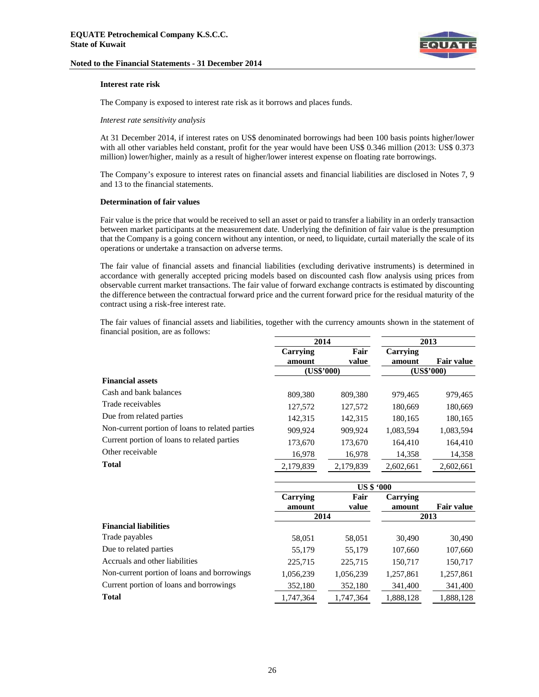

#### **Interest rate risk**

The Company is exposed to interest rate risk as it borrows and places funds.

#### *Interest rate sensitivity analysis*

At 31 December 2014, if interest rates on US\$ denominated borrowings had been 100 basis points higher/lower with all other variables held constant, profit for the year would have been US\$ 0.346 million (2013: US\$ 0.373 million) lower/higher, mainly as a result of higher/lower interest expense on floating rate borrowings.

The Company's exposure to interest rates on financial assets and financial liabilities are disclosed in Notes 7, 9 and 13 to the financial statements.

#### **Determination of fair values**

Fair value is the price that would be received to sell an asset or paid to transfer a liability in an orderly transaction between market participants at the measurement date. Underlying the definition of fair value is the presumption that the Company is a going concern without any intention, or need, to liquidate, curtail materially the scale of its operations or undertake a transaction on adverse terms.

The fair value of financial assets and financial liabilities (excluding derivative instruments) is determined in accordance with generally accepted pricing models based on discounted cash flow analysis using prices from observable current market transactions. The fair value of forward exchange contracts is estimated by discounting the difference between the contractual forward price and the current forward price for the residual maturity of the contract using a risk-free interest rate.

The fair values of financial assets and liabilities, together with the currency amounts shown in the statement of financial position, are as follows:

|                                                 | 2014       |                   |           | 2013              |
|-------------------------------------------------|------------|-------------------|-----------|-------------------|
|                                                 | Carrying   | Fair              | Carrying  |                   |
|                                                 | amount     | value             | amount    | <b>Fair value</b> |
|                                                 | (US\$'000) |                   |           | (US\$'000)        |
| <b>Financial assets</b>                         |            |                   |           |                   |
| Cash and bank balances                          | 809,380    | 809,380           | 979,465   | 979,465           |
| Trade receivables                               | 127,572    | 127,572           | 180,669   | 180,669           |
| Due from related parties                        | 142,315    | 142,315           | 180,165   | 180,165           |
| Non-current portion of loans to related parties | 909,924    | 909,924           | 1,083,594 | 1,083,594         |
| Current portion of loans to related parties     | 173,670    | 173,670           | 164,410   | 164,410           |
| Other receivable                                | 16,978     | 16,978            | 14,358    | 14,358            |
| <b>Total</b>                                    | 2,179,839  | 2,179,839         | 2,602,661 | 2,602,661         |
|                                                 |            | <b>US \$ '000</b> |           |                   |
|                                                 | Carrying   | Fair              | Carrying  |                   |
|                                                 | amount     | value             | amount    | Fair value        |
|                                                 | 2014       |                   |           | 2013              |
| <b>Financial liabilities</b>                    |            |                   |           |                   |
| Trade payables                                  | 58,051     | 58,051            | 30,490    | 30,490            |
| Due to related parties                          | 55,179     | 55,179            | 107,660   | 107,660           |
| Accruals and other liabilities                  | 225,715    | 225,715           | 150,717   | 150,717           |
| Non-current portion of loans and borrowings     | 1,056,239  | 1,056,239         | 1,257,861 | 1,257,861         |
| Current portion of loans and borrowings         | 352,180    | 352,180           | 341,400   | 341,400           |
| <b>Total</b>                                    | 1,747,364  | 1,747,364         | 1,888,128 | 1,888,128         |